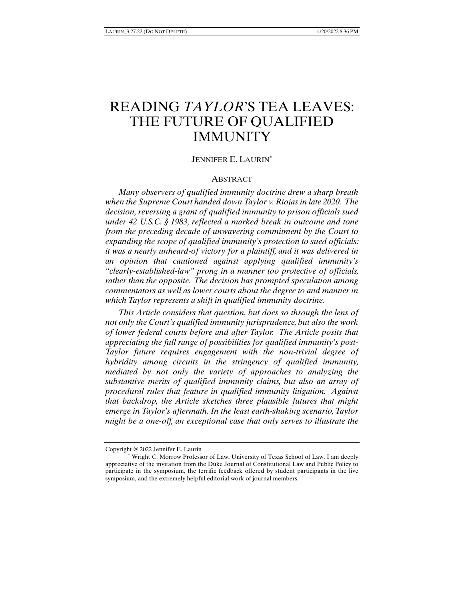# READING *TAYLOR*'S TEA LEAVES: THE FUTURE OF QUALIFIED **IMMUNITY**

## JENNIFER E. LAURIN\*

## **ABSTRACT**

*Many observers of qualified immunity doctrine drew a sharp breath when the Supreme Court handed down Taylor v. Riojas in late 2020. The decision, reversing a grant of qualified immunity to prison officials sued under 42 U.S.C. § 1983, reflected a marked break in outcome and tone from the preceding decade of unwavering commitment by the Court to expanding the scope of qualified immunity's protection to sued officials: it was a nearly unheard-of victory for a plaintiff, and it was delivered in an opinion that cautioned against applying qualified immunity's "clearly-established-law" prong in a manner too protective of officials, rather than the opposite. The decision has prompted speculation among commentators as well as lower courts about the degree to and manner in which Taylor represents a shift in qualified immunity doctrine.* 

*This Article considers that question, but does so through the lens of not only the Court's qualified immunity jurisprudence, but also the work of lower federal courts before and after Taylor. The Article posits that appreciating the full range of possibilities for qualified immunity's post-Taylor future requires engagement with the non-trivial degree of hybridity among circuits in the stringency of qualified immunity, mediated by not only the variety of approaches to analyzing the substantive merits of qualified immunity claims, but also an array of procedural rules that feature in qualified immunity litigation. Against that backdrop, the Article sketches three plausible futures that might emerge in Taylor's aftermath. In the least earth-shaking scenario, Taylor might be a one-off, an exceptional case that only serves to illustrate the* 

Copyright @ 2022 Jennifer E. Laurin

 <sup>\*</sup> Wright C. Morrow Professor of Law, University of Texas School of Law. I am deeply appreciative of the invitation from the Duke Journal of Constitutional Law and Public Policy to participate in the symposium, the terrific feedback offered by student participants in the live symposium, and the extremely helpful editorial work of journal members.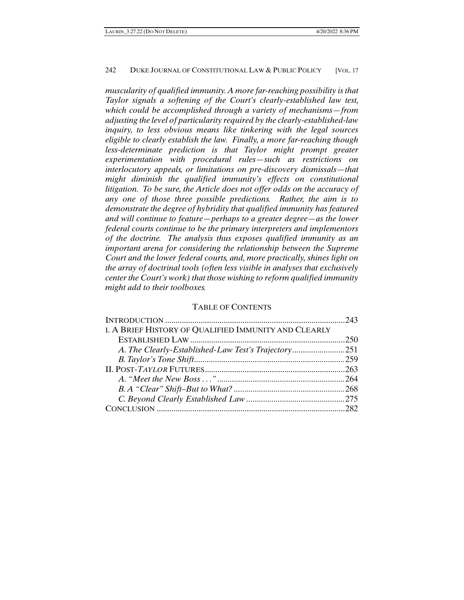*muscularity of qualified immunity. A more far-reaching possibility is that Taylor signals a softening of the Court's clearly-established law test, which could be accomplished through a variety of mechanisms—from adjusting the level of particularity required by the clearly-established-law inquiry, to less obvious means like tinkering with the legal sources eligible to clearly establish the law. Finally, a more far-reaching though less-determinate prediction is that Taylor might prompt greater experimentation with procedural rules—such as restrictions on interlocutory appeals, or limitations on pre-discovery dismissals—that might diminish the qualified immunity's effects on constitutional litigation. To be sure, the Article does not offer odds on the accuracy of any one of those three possible predictions. Rather, the aim is to demonstrate the degree of hybridity that qualified immunity has featured and will continue to feature—perhaps to a greater degree—as the lower federal courts continue to be the primary interpreters and implementors of the doctrine. The analysis thus exposes qualified immunity as an important arena for considering the relationship between the Supreme Court and the lower federal courts, and, more practically, shines light on the array of doctrinal tools (often less visible in analyses that exclusively center the Court's work) that those wishing to reform qualified immunity might add to their toolboxes.* 

#### TABLE OF CONTENTS

| I. A BRIEF HISTORY OF QUALIFIED IMMUNITY AND CLEARLY |  |
|------------------------------------------------------|--|
|                                                      |  |
|                                                      |  |
|                                                      |  |
|                                                      |  |
|                                                      |  |
|                                                      |  |
|                                                      |  |
|                                                      |  |
|                                                      |  |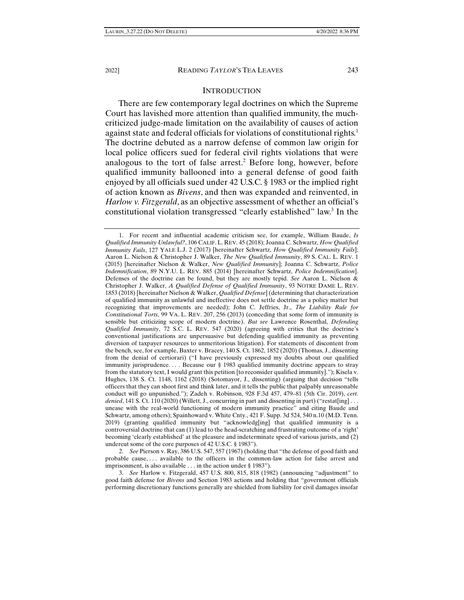#### **INTRODUCTION**

There are few contemporary legal doctrines on which the Supreme Court has lavished more attention than qualified immunity, the muchcriticized judge-made limitation on the availability of causes of action against state and federal officials for violations of constitutional rights.<sup>1</sup> The doctrine debuted as a narrow defense of common law origin for local police officers sued for federal civil rights violations that were analogous to the tort of false arrest.<sup>2</sup> Before long, however, before qualified immunity ballooned into a general defense of good faith enjoyed by all officials sued under 42 U.S.C. § 1983 or the implied right of action known as *Bivens*, and then was expanded and reinvented, in *Harlow v. Fitzgerald*, as an objective assessment of whether an official's constitutional violation transgressed "clearly established" law.<sup>3</sup> In the

 2. *See* Pierson v. Ray, 386 U.S. 547, 557 (1967) (holding that "the defense of good faith and probable cause, . . . available to the officers in the common-law action for false arrest and imprisonment, is also available . . . in the action under § 1983").

 3. *See* Harlow v. Fitzgerald, 457 U.S. 800, 815, 818 (1982) (announcing "adjustment" to good faith defense for *Bivens* and Section 1983 actions and holding that "government officials performing discretionary functions generally are shielded from liability for civil damages insofar

 <sup>1.</sup> For recent and influential academic criticism see, for example, William Baude, *Is Qualified Immunity Unlawful?*, 106 CALIF.L. REV. 45 (2018); Joanna C. Schwartz, *How Qualified Immunity Fails*, 127 YALE L.J. 2 (2017) [hereinafter Schwartz, *How Qualified Immunity Fails*]; Aaron L. Nielson & Christopher J. Walker, *The New Qualified Immunity*, 89 S. CAL. L. REV. 1 (2015) [hereinafter Nielson & Walker, *New Qualified Immunity*]; Joanna C. Schwartz, *Police Indemnification*, 89 N.Y.U. L. REV. 885 (2014) [hereinafter Schwartz, *Police Indemnification*]. Defenses of the doctrine can be found, but they are mostly tepid. *See* Aaron L. Nielson & Christopher J. Walker, *A Qualified Defense of Qualified Immunity*, 93 NOTRE DAME L. REV. 1853 (2018) [hereinafter Nielson & Walker, *Qualified Defense*] (determining that characterization of qualified immunity as unlawful and ineffective does not settle doctrine as a policy matter but recognizing that improvements are needed); John C. Jeffries, Jr., *The Liability Rule for Constitutional Torts*, 99 VA. L. REV. 207, 256 (2013) (conceding that some form of immunity is sensible but criticizing scope of modern doctrine). *But see* Lawrence Rosenthal, *Defending Qualified Immunity*, 72 S.C. L. REV. 547 (2020) (agreeing with critics that the doctrine's conventional justifications are unpersuasive but defending qualified immunity as preventing diversion of taxpayer resources to unmeritorious litigation). For statements of discontent from the bench, see, for example, Baxter v. Bracey, 140 S. Ct. 1862, 1852 (2020) (Thomas, J., dissenting from the denial of certiorari) ("I have previously expressed my doubts about our qualified immunity jurisprudence. . . . Because our § 1983 qualified immunity doctrine appears to stray from the statutory text, I would grant this petition [to reconsider qualified immunity]."); Kisela v. Hughes, 138 S. Ct. 1148, 1162 (2018) (Sotomayor, J., dissenting) (arguing that decision "tells officers that they can shoot first and think later, and it tells the public that palpably unreasonable conduct will go unpunished."); Zadeh v. Robinson, 928 F.3d 457, 479–81 (5th Cir. 2019), *cert. denied*, 141 S. Ct. 110 (2020) (Willett, J., concurring in part and dissenting in part) ("restat[ing] . . . unease with the real-world functioning of modern immunity practice" and citing Baude and Schwartz, among others); Spainhoward v. White Cnty., 421 F. Supp. 3d 524, 540 n.10 (M.D. Tenn. 2019) (granting qualified immunity but "acknowledg[ing] that qualified immunity is a controversial doctrine that can (1) lead to the head-scratching and frustrating outcome of a 'right' becoming 'clearly established' at the pleasure and indeterminate speed of various jurists, and (2) undercut some of the core purposes of 42 U.S.C. § 1983").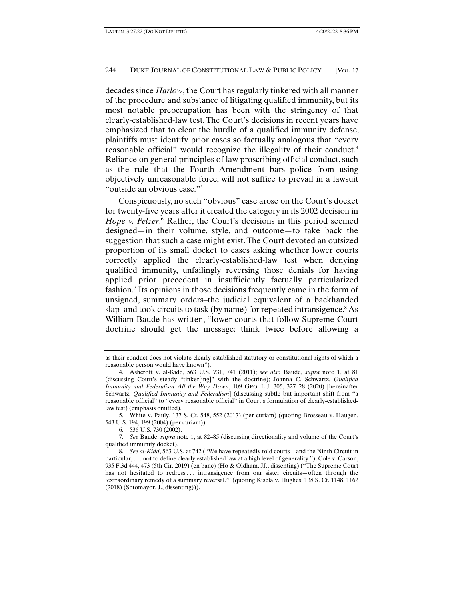decades since *Harlow*, the Court has regularly tinkered with all manner of the procedure and substance of litigating qualified immunity, but its most notable preoccupation has been with the stringency of that clearly-established-law test. The Court's decisions in recent years have emphasized that to clear the hurdle of a qualified immunity defense, plaintiffs must identify prior cases so factually analogous that "every reasonable official" would recognize the illegality of their conduct.4 Reliance on general principles of law proscribing official conduct, such as the rule that the Fourth Amendment bars police from using objectively unreasonable force, will not suffice to prevail in a lawsuit "outside an obvious case."5

Conspicuously, no such "obvious" case arose on the Court's docket for twenty-five years after it created the category in its 2002 decision in Hope v. Pelzer.<sup>6</sup> Rather, the Court's decisions in this period seemed designed—in their volume, style, and outcome—to take back the suggestion that such a case might exist. The Court devoted an outsized proportion of its small docket to cases asking whether lower courts correctly applied the clearly-established-law test when denying qualified immunity, unfailingly reversing those denials for having applied prior precedent in insufficiently factually particularized fashion.<sup>7</sup> Its opinions in those decisions frequently came in the form of unsigned, summary orders–the judicial equivalent of a backhanded slap–and took circuits to task (by name) for repeated intransigence.<sup>8</sup> As William Baude has written, "lower courts that follow Supreme Court doctrine should get the message: think twice before allowing a

as their conduct does not violate clearly established statutory or constitutional rights of which a reasonable person would have known").

 <sup>4.</sup> Ashcroft v. al-Kidd, 563 U.S. 731, 741 (2011); *see also* Baude, *supra* note 1, at 81 (discussing Court's steady "tinker[ing]" with the doctrine); Joanna C. Schwartz, *Qualified Immunity and Federalism All the Way Down*, 109 GEO. L.J. 305, 327–28 (2020) [hereinafter Schwartz, *Qualified Immunity and Federalism*] (discussing subtle but important shift from "a reasonable official" to "every reasonable official" in Court's formulation of clearly-establishedlaw test) (emphasis omitted).

 <sup>5.</sup> White v. Pauly, 137 S. Ct. 548, 552 (2017) (per curiam) (quoting Brosseau v. Haugen, 543 U.S. 194, 199 (2004) (per curiam)).

 <sup>6. 536</sup> U.S. 730 (2002).

 <sup>7.</sup> *See* Baude, *supra* note 1, at 82–85 (discussing directionality and volume of the Court's qualified immunity docket).

 <sup>8.</sup> *See al-Kidd*, 563 U.S. at 742 ("We have repeatedly told courts—and the Ninth Circuit in particular, . . . not to define clearly established law at a high level of generality."); Cole v. Carson, 935 F.3d 444, 473 (5th Cir. 2019) (en banc) (Ho & Oldham, JJ., dissenting) ("The Supreme Court has not hesitated to redress ... intransigence from our sister circuits—often through the 'extraordinary remedy of a summary reversal.'" (quoting Kisela v. Hughes, 138 S. Ct. 1148, 1162 (2018) (Sotomayor, J., dissenting))).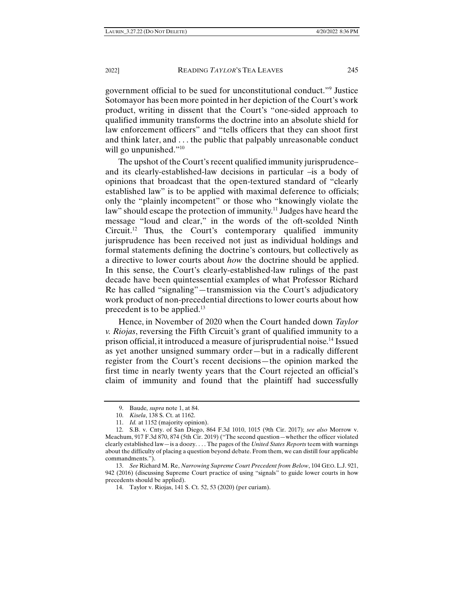government official to be sued for unconstitutional conduct."9 Justice Sotomayor has been more pointed in her depiction of the Court's work product, writing in dissent that the Court's "one-sided approach to qualified immunity transforms the doctrine into an absolute shield for law enforcement officers" and "tells officers that they can shoot first and think later, and . . . the public that palpably unreasonable conduct will go unpunished."<sup>10</sup>

The upshot of the Court's recent qualified immunity jurisprudence– and its clearly-established-law decisions in particular –is a body of opinions that broadcast that the open-textured standard of "clearly established law" is to be applied with maximal deference to officials; only the "plainly incompetent" or those who "knowingly violate the law" should escape the protection of immunity.<sup>11</sup> Judges have heard the message "loud and clear," in the words of the oft-scolded Ninth Circuit.12 Thus, the Court's contemporary qualified immunity jurisprudence has been received not just as individual holdings and formal statements defining the doctrine's contours, but collectively as a directive to lower courts about *how* the doctrine should be applied. In this sense, the Court's clearly-established-law rulings of the past decade have been quintessential examples of what Professor Richard Re has called "signaling"—transmission via the Court's adjudicatory work product of non-precedential directions to lower courts about how precedent is to be applied.<sup>13</sup>

Hence, in November of 2020 when the Court handed down *Taylor v. Riojas*, reversing the Fifth Circuit's grant of qualified immunity to a prison official, it introduced a measure of jurisprudential noise.14 Issued as yet another unsigned summary order—but in a radically different register from the Court's recent decisions—the opinion marked the first time in nearly twenty years that the Court rejected an official's claim of immunity and found that the plaintiff had successfully

 <sup>9.</sup> Baude*, supra* note 1, at 84.

 <sup>10.</sup> *Kisela*, 138 S. Ct. at 1162.

 <sup>11.</sup> *Id.* at 1152 (majority opinion).

 <sup>12.</sup> S.B. v. Cnty. of San Diego, 864 F.3d 1010, 1015 (9th Cir. 2017); *see also* Morrow v. Meachum, 917 F.3d 870, 874 (5th Cir. 2019) ("The second question—whether the officer violated clearly established law—is a doozy. . . . The pages of the *United States Reports* teem with warnings about the difficulty of placing a question beyond debate. From them, we can distill four applicable commandments.").

 <sup>13.</sup> *See* Richard M. Re, *Narrowing Supreme Court Precedent from Below*, 104 GEO.L.J. 921, 942 (2016) (discussing Supreme Court practice of using "signals" to guide lower courts in how precedents should be applied).

 <sup>14.</sup> Taylor v. Riojas, 141 S. Ct. 52, 53 (2020) (per curiam).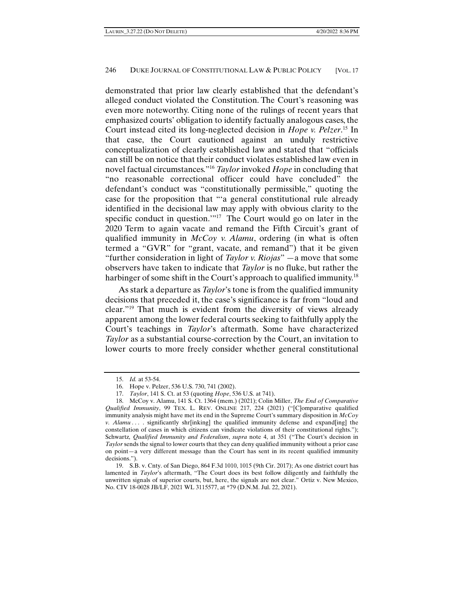demonstrated that prior law clearly established that the defendant's alleged conduct violated the Constitution. The Court's reasoning was even more noteworthy. Citing none of the rulings of recent years that emphasized courts' obligation to identify factually analogous cases, the Court instead cited its long-neglected decision in *Hope v. Pelzer*. 15 In that case, the Court cautioned against an unduly restrictive conceptualization of clearly established law and stated that "officials can still be on notice that their conduct violates established law even in novel factual circumstances."16 *Taylor* invoked *Hope* in concluding that "no reasonable correctional officer could have concluded" the defendant's conduct was "constitutionally permissible," quoting the case for the proposition that "'a general constitutional rule already identified in the decisional law may apply with obvious clarity to the specific conduct in question."<sup>17</sup> The Court would go on later in the 2020 Term to again vacate and remand the Fifth Circuit's grant of qualified immunity in *McCoy v. Alamu*, ordering (in what is often termed a "GVR" for "grant, vacate, and remand") that it be given "further consideration in light of *Taylor v. Riojas*" —a move that some observers have taken to indicate that *Taylor* is no fluke, but rather the harbinger of some shift in the Court's approach to qualified immunity.<sup>18</sup>

As stark a departure as *Taylor*'s tone is from the qualified immunity decisions that preceded it, the case's significance is far from "loud and clear."19 That much is evident from the diversity of views already apparent among the lower federal courts seeking to faithfully apply the Court's teachings in *Taylor*'s aftermath. Some have characterized *Taylor* as a substantial course-correction by the Court, an invitation to lower courts to more freely consider whether general constitutional

 <sup>15.</sup> *Id.* at 53-54.

 <sup>16.</sup> Hope v. Pelzer, 536 U.S. 730, 741 (2002).

 <sup>17.</sup> *Taylor*, 141 S. Ct. at 53 (quoting *Hope*, 536 U.S. at 741).

 <sup>18.</sup> McCoy v. Alamu, 141 S. Ct. 1364 (mem.) (2021); Colin Miller, *The End of Comparative Qualified Immunity*, 99 TEX. L. REV. ONLINE 217, 224 (2021) ("[C]omparative qualified immunity analysis might have met its end in the Supreme Court's summary disposition in *McCoy v. Alamu . . .* . significantly shr[inking] the qualified immunity defense and expand[ing] the constellation of cases in which citizens can vindicate violations of their constitutional rights."); Schwartz*, Qualified Immunity and Federalism*, *supra* note 4, at 351 ("The Court's decision in *Taylor* sends the signal to lower courts that they can deny qualified immunity without a prior case on point—a very different message than the Court has sent in its recent qualified immunity decisions.").

 <sup>19.</sup> S.B. v. Cnty. of San Diego, 864 F.3d 1010, 1015 (9th Cir. 2017); As one district court has lamented in *Taylor*'s aftermath, "The Court does its best follow diligently and faithfully the unwritten signals of superior courts, but, here, the signals are not clear." Ortiz v. New Mexico, No. CIV 18-0028 JB/LF, 2021 WL 3115577, at \*79 (D.N.M. Jul. 22, 2021).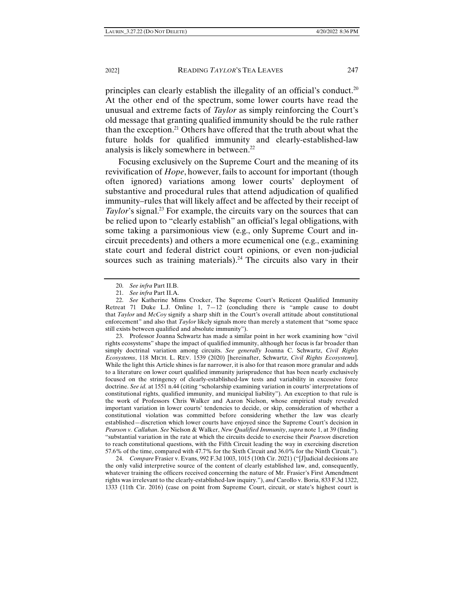principles can clearly establish the illegality of an official's conduct.<sup>20</sup> At the other end of the spectrum, some lower courts have read the unusual and extreme facts of *Taylor* as simply reinforcing the Court's old message that granting qualified immunity should be the rule rather than the exception.21 Others have offered that the truth about what the future holds for qualified immunity and clearly-established-law analysis is likely somewhere in between.22

Focusing exclusively on the Supreme Court and the meaning of its revivification of *Hope*, however, fails to account for important (though often ignored) variations among lower courts' deployment of substantive and procedural rules that attend adjudication of qualified immunity–rules that will likely affect and be affected by their receipt of *Taylor*'s signal.<sup>23</sup> For example, the circuits vary on the sources that can be relied upon to "clearly establish" an official's legal obligations, with some taking a parsimonious view (e.g., only Supreme Court and incircuit precedents) and others a more ecumenical one (e.g., examining state court and federal district court opinions, or even non-judicial sources such as training materials).<sup>24</sup> The circuits also vary in their

 23. Professor Joanna Schwartz has made a similar point in her work examining how "civil rights ecosystems" shape the impact of qualified immunity, although her focus is far broader than simply doctrinal variation among circuits. *See generally* Joanna C. Schwartz, *Civil Rights Ecosystems*, 118 MICH. L. REV. 1539 (2020) [hereinafter, Schwartz, *Civil Rights Ecosystems*]. While the light this Article shines is far narrower, it is also for that reason more granular and adds to a literature on lower court qualified immunity jurisprudence that has been nearly exclusively focused on the stringency of clearly-established-law tests and variability in excessive force doctrine. *See id.* at 1551 n.44 (citing "scholarship examining variation in courts' interpretations of constitutional rights, qualified immunity, and municipal liability"). An exception to that rule is the work of Professors Chris Walker and Aaron Nielson, whose empirical study revealed important variation in lower courts' tendencies to decide, or skip, consideration of whether a constitutional violation was committed before considering whether the law was clearly established—discretion which lower courts have enjoyed since the Supreme Court's decision in *Pearson v. Callahan*. *See* Nielson & Walker, *New Qualified Immunity*, *supra* note 1, at 39 (finding "substantial variation in the rate at which the circuits decide to exercise their *Pearson* discretion to reach constitutional questions, with the Fifth Circuit leading the way in exercising discretion 57.6% of the time, compared with 47.7% for the Sixth Circuit and 36.0% for the Ninth Circuit.").

 24. *Compare* Frasier v. Evans, 992 F.3d 1003, 1015 (10th Cir. 2021) ("[J]udicial decisions are the only valid interpretive source of the content of clearly established law, and, consequently, whatever training the officers received concerning the nature of Mr. Frasier's First Amendment rights was irrelevant to the clearly-established-law inquiry."), *and* Carollo v. Boria, 833 F.3d 1322, 1333 (11th Cir. 2016) (case on point from Supreme Court, circuit, or state's highest court is

 <sup>20.</sup> *See infra* Part II.B.

 <sup>21.</sup> *See infra* Part II.A.

 <sup>22.</sup> *See* Katherine Mims Crocker, The Supreme Court's Reticent Qualified Immunity Retreat 71 Duke L.J. Online 1,  $7-12$  (concluding there is "ample cause to doubt that *Taylor* and *McCoy* signify a sharp shift in the Court's overall attitude about constitutional enforcement" and also that *Taylor* likely signals more than merely a statement that "some space still exists between qualified and absolute immunity").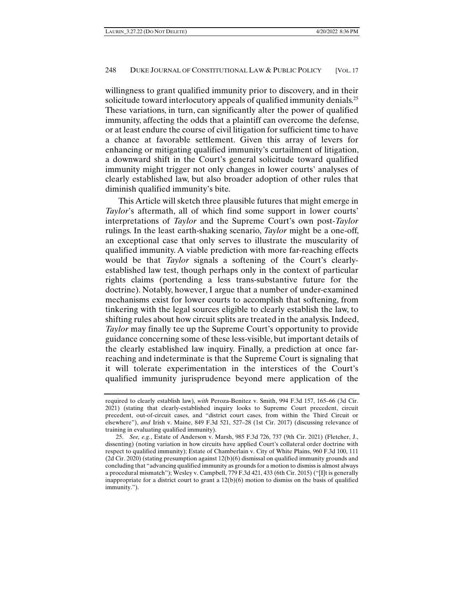willingness to grant qualified immunity prior to discovery, and in their solicitude toward interlocutory appeals of qualified immunity denials.<sup>25</sup> These variations, in turn, can significantly alter the power of qualified immunity, affecting the odds that a plaintiff can overcome the defense, or at least endure the course of civil litigation for sufficient time to have a chance at favorable settlement. Given this array of levers for enhancing or mitigating qualified immunity's curtailment of litigation, a downward shift in the Court's general solicitude toward qualified immunity might trigger not only changes in lower courts' analyses of clearly established law, but also broader adoption of other rules that diminish qualified immunity's bite.

This Article will sketch three plausible futures that might emerge in *Taylor*'s aftermath, all of which find some support in lower courts' interpretations of *Taylor* and the Supreme Court's own post-*Taylor* rulings. In the least earth-shaking scenario, *Taylor* might be a one-off, an exceptional case that only serves to illustrate the muscularity of qualified immunity. A viable prediction with more far-reaching effects would be that *Taylor* signals a softening of the Court's clearlyestablished law test, though perhaps only in the context of particular rights claims (portending a less trans-substantive future for the doctrine). Notably, however, I argue that a number of under-examined mechanisms exist for lower courts to accomplish that softening, from tinkering with the legal sources eligible to clearly establish the law, to shifting rules about how circuit splits are treated in the analysis. Indeed, *Taylor* may finally tee up the Supreme Court's opportunity to provide guidance concerning some of these less-visible, but important details of the clearly established law inquiry. Finally, a prediction at once farreaching and indeterminate is that the Supreme Court is signaling that it will tolerate experimentation in the interstices of the Court's qualified immunity jurisprudence beyond mere application of the

required to clearly establish law), *with* Peroza-Benitez v. Smith, 994 F.3d 157, 165–66 (3d Cir. 2021) (stating that clearly-established inquiry looks to Supreme Court precedent, circuit precedent, out-of-circuit cases, and "district court cases, from within the Third Circuit or elsewhere"), *and* Irish v. Maine, 849 F.3d 521, 527–28 (1st Cir. 2017) (discussing relevance of training in evaluating qualified immunity).

 <sup>25.</sup> *See, e.g.*, Estate of Anderson v. Marsh, 985 F.3d 726, 737 (9th Cir. 2021) (Fletcher, J., dissenting) (noting variation in how circuits have applied Court's collateral order doctrine with respect to qualified immunity); Estate of Chamberlain v. City of White Plains, 960 F.3d 100, 111  $(2d Cir. 2020)$  (stating presumption against  $12(b)(6)$  dismissal on qualified immunity grounds and concluding that "advancing qualified immunity as grounds for a motion to dismiss is almost always a procedural mismatch"); Wesley v. Campbell, 779 F.3d 421, 433 (6th Cir. 2015) ("[I]t is generally inappropriate for a district court to grant a  $12(b)(6)$  motion to dismiss on the basis of qualified immunity.").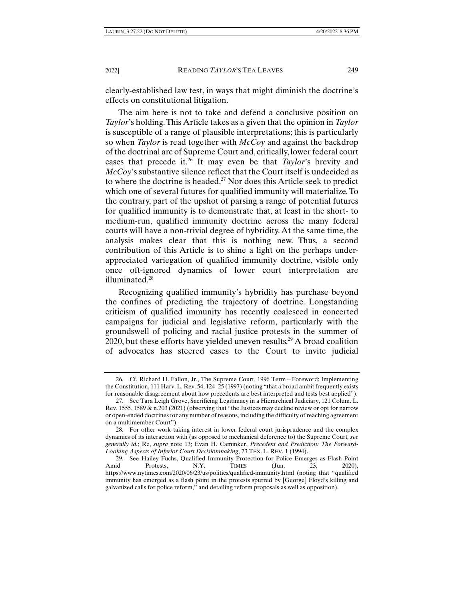clearly-established law test, in ways that might diminish the doctrine's effects on constitutional litigation.

The aim here is not to take and defend a conclusive position on *Taylor*'s holding. This Article takes as a given that the opinion in *Taylor* is susceptible of a range of plausible interpretations; this is particularly so when *Taylor* is read together with *McCoy* and against the backdrop of the doctrinal arc of Supreme Court and, critically, lower federal court cases that precede it.26 It may even be that *Taylor*'s brevity and *McCoy*'s substantive silence reflect that the Court itself is undecided as to where the doctrine is headed.27 Nor does this Article seek to predict which one of several futures for qualified immunity will materialize. To the contrary, part of the upshot of parsing a range of potential futures for qualified immunity is to demonstrate that, at least in the short- to medium-run, qualified immunity doctrine across the many federal courts will have a non-trivial degree of hybridity. At the same time, the analysis makes clear that this is nothing new. Thus, a second contribution of this Article is to shine a light on the perhaps underappreciated variegation of qualified immunity doctrine, visible only once oft-ignored dynamics of lower court interpretation are illuminated.<sup>28</sup>

Recognizing qualified immunity's hybridity has purchase beyond the confines of predicting the trajectory of doctrine. Longstanding criticism of qualified immunity has recently coalesced in concerted campaigns for judicial and legislative reform, particularly with the groundswell of policing and racial justice protests in the summer of 2020, but these efforts have yielded uneven results.<sup>29</sup> A broad coalition of advocates has steered cases to the Court to invite judicial

 <sup>26.</sup> Cf. Richard H. Fallon, Jr., The Supreme Court, 1996 Term—Foreword: Implementing the Constitution, 111 Harv. L. Rev. 54, 124–25 (1997) (noting "that a broad ambit frequently exists for reasonable disagreement about how precedents are best interpreted and tests best applied").

 <sup>27.</sup> See Tara Leigh Grove, Sacrificing Legitimacy in a Hierarchical Judiciary, 121 Colum. L. Rev. 1555, 1589 & n.203 (2021) (observing that "the Justices may decline review or opt for narrow or open-ended doctrines for any number of reasons, including the difficulty of reaching agreement on a multimember Court").

 <sup>28.</sup> For other work taking interest in lower federal court jurisprudence and the complex dynamics of its interaction with (as opposed to mechanical deference to) the Supreme Court*, see generally id.*; Re, *supra* note 13; Evan H. Caminker, *Precedent and Prediction: The Forward-Looking Aspects of Inferior Court Decisionmaking*, 73 TEX. L. REV. 1 (1994).

 <sup>29.</sup> See Hailey Fuchs, Qualified Immunity Protection for Police Emerges as Flash Point Amid Protests, N.Y. TIMES (Jun. 23, 2020), https://www.nytimes.com/2020/06/23/us/politics/qualified-immunity.html (noting that "qualified immunity has emerged as a flash point in the protests spurred by [George] Floyd's killing and galvanized calls for police reform," and detailing reform proposals as well as opposition).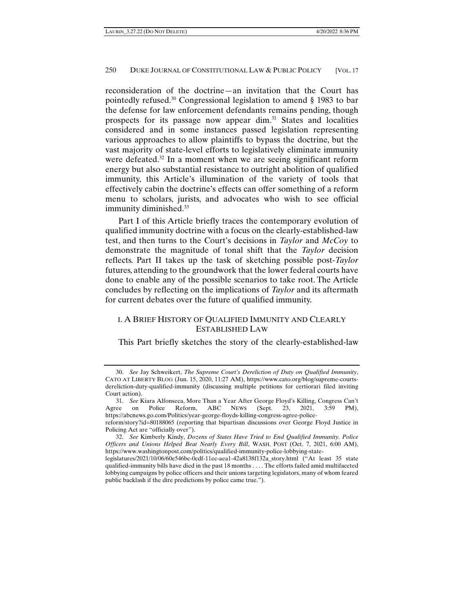reconsideration of the doctrine—an invitation that the Court has pointedly refused.30 Congressional legislation to amend § 1983 to bar the defense for law enforcement defendants remains pending, though prospects for its passage now appear dim.31 States and localities considered and in some instances passed legislation representing various approaches to allow plaintiffs to bypass the doctrine, but the vast majority of state-level efforts to legislatively eliminate immunity were defeated.<sup>32</sup> In a moment when we are seeing significant reform energy but also substantial resistance to outright abolition of qualified immunity, this Article's illumination of the variety of tools that effectively cabin the doctrine's effects can offer something of a reform menu to scholars, jurists, and advocates who wish to see official immunity diminished.<sup>33</sup>

Part I of this Article briefly traces the contemporary evolution of qualified immunity doctrine with a focus on the clearly-established-law test, and then turns to the Court's decisions in *Taylor* and *McCoy* to demonstrate the magnitude of tonal shift that the *Taylor* decision reflects. Part II takes up the task of sketching possible post-*Taylor*  futures, attending to the groundwork that the lower federal courts have done to enable any of the possible scenarios to take root. The Article concludes by reflecting on the implications of *Taylor* and its aftermath for current debates over the future of qualified immunity.

# I. A BRIEF HISTORY OF QUALIFIED IMMUNITY AND CLEARLY ESTABLISHED LAW

This Part briefly sketches the story of the clearly-established-law

 <sup>30.</sup> *See* Jay Schweikert, *The Supreme Court's Dereliction of Duty on Qualified Immunity*, CATO AT LIBERTY BLOG (Jun. 15, 2020, 11:27 AM), https://www.cato.org/blog/supreme-courtsdereliction-duty-qualified-immunity (discussing multiple petitions for certiorari filed inviting Court action).

 <sup>31.</sup> *See* Kiara Alfonseca, More Than a Year After George Floyd's Killing, Congress Can't Agree on Police Reform, ABC NEWS (Sept. 23, 2021, 3:59 PM), https://abcnews.go.com/Politics/year-george-floyds-killing-congress-agree-policereform/story?id=80188065 (reporting that bipartisan discussions over George Floyd Justice in

Policing Act are "officially over"). 32. *See* Kimberly Kindy, *Dozens of States Have Tried to End Qualified Immunity. Police* 

*Officers and Unions Helped Beat Nearly Every Bill*, WASH. POST (Oct. 7, 2021, 6:00 AM), https://www.washingtonpost.com/politics/qualified-immunity-police-lobbying-state-

legislatures/2021/10/06/60e546bc-0cdf-11ec-aea1-42a8138f132a\_story.html ("At least 35 state qualified-immunity bills have died in the past 18 months . . . . The efforts failed amid multifaceted lobbying campaigns by police officers and their unions targeting legislators, many of whom feared public backlash if the dire predictions by police came true.").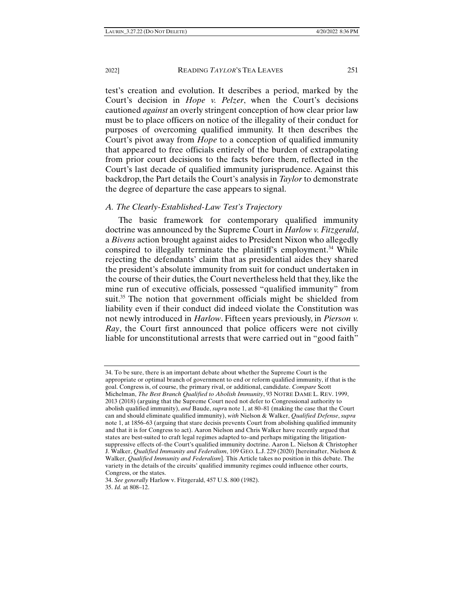test's creation and evolution. It describes a period, marked by the Court's decision in *Hope v. Pelzer*, when the Court's decisions cautioned *against* an overly stringent conception of how clear prior law must be to place officers on notice of the illegality of their conduct for purposes of overcoming qualified immunity. It then describes the Court's pivot away from *Hope* to a conception of qualified immunity that appeared to free officials entirely of the burden of extrapolating from prior court decisions to the facts before them, reflected in the Court's last decade of qualified immunity jurisprudence. Against this backdrop, the Part details the Court's analysis in *Taylor* to demonstrate the degree of departure the case appears to signal.

#### *A. The Clearly-Established-Law Test's Trajectory*

The basic framework for contemporary qualified immunity doctrine was announced by the Supreme Court in *Harlow v. Fitzgerald*, a *Bivens* action brought against aides to President Nixon who allegedly conspired to illegally terminate the plaintiff's employment.<sup>34</sup> While rejecting the defendants' claim that as presidential aides they shared the president's absolute immunity from suit for conduct undertaken in the course of their duties, the Court nevertheless held that they, like the mine run of executive officials, possessed "qualified immunity" from suit.<sup>35</sup> The notion that government officials might be shielded from liability even if their conduct did indeed violate the Constitution was not newly introduced in *Harlow*. Fifteen years previously, in *Pierson v. Ray*, the Court first announced that police officers were not civilly liable for unconstitutional arrests that were carried out in "good faith"

<sup>34.</sup> To be sure, there is an important debate about whether the Supreme Court is the appropriate or optimal branch of government to end or reform qualified immunity, if that is the goal. Congress is, of course, the primary rival, or additional, candidate. *Compare* Scott Michelman, *The Best Branch Qualified to Abolish Immunity*, 93 NOTRE DAME L. REV. 1999, 2013 (2018) (arguing that the Supreme Court need not defer to Congressional authority to abolish qualified immunity), *and* Baude, *supr*a note 1, at 80–81 (making the case that the Court can and should eliminate qualified immunity), *with* Nielson & Walker, *Qualified Defense*, *supra* note 1, at 1856–63 (arguing that stare decisis prevents Court from abolishing qualified immunity and that it is for Congress to act). Aaron Nielson and Chris Walker have recently argued that states are best-suited to craft legal regimes adapted to–and perhaps mitigating the litigationsuppressive effects of–the Court's qualified immunity doctrine. Aaron L. Nielson & Christopher J. Walker, *Qualified Immunity and Federalism*, 109 GEO. L.J. 229 (2020) [hereinafter, Nielson & Walker, *Qualified Immunity and Federalism*]. This Article takes no position in this debate. The variety in the details of the circuits' qualified immunity regimes could influence other courts, Congress, or the states.

<sup>34.</sup> *See generally* Harlow v. Fitzgerald, 457 U.S. 800 (1982).

<sup>35.</sup> *Id.* at 808–12.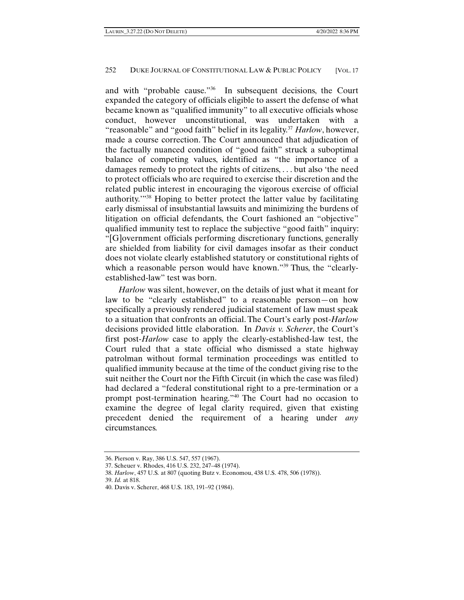and with "probable cause."36 In subsequent decisions, the Court expanded the category of officials eligible to assert the defense of what became known as "qualified immunity" to all executive officials whose conduct, however unconstitutional, was undertaken with a "reasonable" and "good faith" belief in its legality.37 *Harlow*, however, made a course correction. The Court announced that adjudication of the factually nuanced condition of "good faith" struck a suboptimal balance of competing values, identified as "the importance of a damages remedy to protect the rights of citizens, . . . but also 'the need to protect officials who are required to exercise their discretion and the related public interest in encouraging the vigorous exercise of official authority.'"38 Hoping to better protect the latter value by facilitating early dismissal of insubstantial lawsuits and minimizing the burdens of litigation on official defendants, the Court fashioned an "objective" qualified immunity test to replace the subjective "good faith" inquiry: "[G]overnment officials performing discretionary functions, generally are shielded from liability for civil damages insofar as their conduct does not violate clearly established statutory or constitutional rights of which a reasonable person would have known."<sup>39</sup> Thus, the "clearlyestablished-law" test was born.

*Harlow* was silent, however, on the details of just what it meant for law to be "clearly established" to a reasonable person—on how specifically a previously rendered judicial statement of law must speak to a situation that confronts an official. The Court's early post-*Harlow*  decisions provided little elaboration. In *Davis v. Scherer*, the Court's first post-*Harlow* case to apply the clearly-established-law test, the Court ruled that a state official who dismissed a state highway patrolman without formal termination proceedings was entitled to qualified immunity because at the time of the conduct giving rise to the suit neither the Court nor the Fifth Circuit (in which the case was filed) had declared a "federal constitutional right to a pre-termination or a prompt post-termination hearing."40 The Court had no occasion to examine the degree of legal clarity required, given that existing precedent denied the requirement of a hearing under *any*  circumstances.

<sup>36.</sup> Pierson v. Ray, 386 U.S. 547, 557 (1967).

<sup>37.</sup> Scheuer v. Rhodes, 416 U.S. 232, 247–48 (1974).

<sup>38.</sup> *Harlow*, 457 U.S*.* at 807 (quoting Butz v. Economou, 438 U.S. 478, 506 (1978)).

<sup>39.</sup> *Id.* at 818.

<sup>40.</sup> Davis v. Scherer, 468 U.S. 183, 191–92 (1984).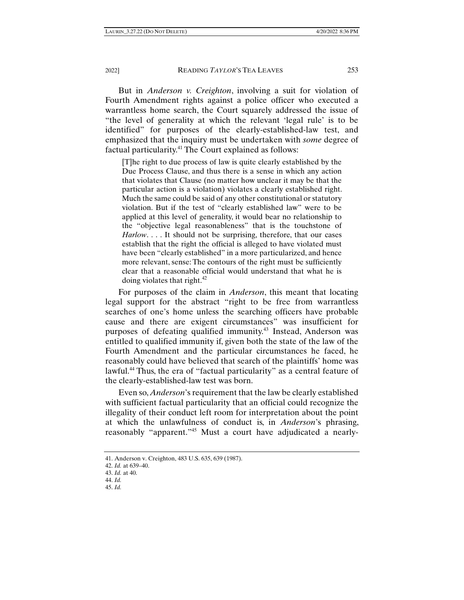But in *Anderson v. Creighton*, involving a suit for violation of Fourth Amendment rights against a police officer who executed a warrantless home search, the Court squarely addressed the issue of "the level of generality at which the relevant 'legal rule' is to be identified" for purposes of the clearly-established-law test, and emphasized that the inquiry must be undertaken with *some* degree of factual particularity.<sup>41</sup> The Court explained as follows:

[T]he right to due process of law is quite clearly established by the Due Process Clause, and thus there is a sense in which any action that violates that Clause (no matter how unclear it may be that the particular action is a violation) violates a clearly established right. Much the same could be said of any other constitutional or statutory violation. But if the test of "clearly established law" were to be applied at this level of generality, it would bear no relationship to the "objective legal reasonableness" that is the touchstone of *Harlow*. . . . It should not be surprising, therefore, that our cases establish that the right the official is alleged to have violated must have been "clearly established" in a more particularized, and hence more relevant, sense: The contours of the right must be sufficiently clear that a reasonable official would understand that what he is doing violates that right. $42$ 

For purposes of the claim in *Anderson*, this meant that locating legal support for the abstract "right to be free from warrantless searches of one's home unless the searching officers have probable cause and there are exigent circumstances" was insufficient for purposes of defeating qualified immunity.<sup>43</sup> Instead, Anderson was entitled to qualified immunity if, given both the state of the law of the Fourth Amendment and the particular circumstances he faced, he reasonably could have believed that search of the plaintiffs' home was lawful.<sup>44</sup> Thus, the era of "factual particularity" as a central feature of the clearly-established-law test was born.

Even so, *Anderson*'s requirement that the law be clearly established with sufficient factual particularity that an official could recognize the illegality of their conduct left room for interpretation about the point at which the unlawfulness of conduct is, in *Anderson*'s phrasing, reasonably "apparent."<sup>45</sup> Must a court have adjudicated a nearly-

<sup>41.</sup> Anderson v. Creighton, 483 U.S. 635, 639 (1987).

<sup>42.</sup> *Id.* at 639–40.

<sup>43.</sup> *Id.* at 40.

<sup>44.</sup> *Id.*

<sup>45.</sup> *Id.*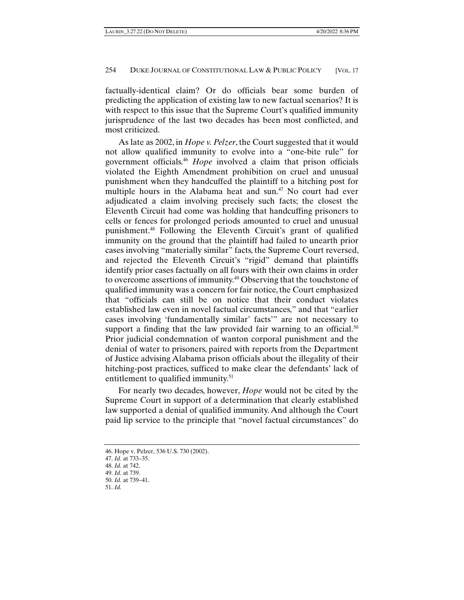factually-identical claim? Or do officials bear some burden of predicting the application of existing law to new factual scenarios? It is with respect to this issue that the Supreme Court's qualified immunity jurisprudence of the last two decades has been most conflicted, and most criticized.

As late as 2002, in *Hope v. Pelzer*, the Court suggested that it would not allow qualified immunity to evolve into a "one-bite rule" for government officials.46 *Hope* involved a claim that prison officials violated the Eighth Amendment prohibition on cruel and unusual punishment when they handcuffed the plaintiff to a hitching post for multiple hours in the Alabama heat and sun.<sup>47</sup> No court had ever adjudicated a claim involving precisely such facts; the closest the Eleventh Circuit had come was holding that handcuffing prisoners to cells or fences for prolonged periods amounted to cruel and unusual punishment.48 Following the Eleventh Circuit's grant of qualified immunity on the ground that the plaintiff had failed to unearth prior cases involving "materially similar" facts, the Supreme Court reversed, and rejected the Eleventh Circuit's "rigid" demand that plaintiffs identify prior cases factually on all fours with their own claims in order to overcome assertions of immunity.49 Observing that the touchstone of qualified immunity was a concern for fair notice, the Court emphasized that "officials can still be on notice that their conduct violates established law even in novel factual circumstances," and that "earlier cases involving 'fundamentally similar' facts'" are not necessary to support a finding that the law provided fair warning to an official.<sup>50</sup> Prior judicial condemnation of wanton corporal punishment and the denial of water to prisoners, paired with reports from the Department of Justice advising Alabama prison officials about the illegality of their hitching-post practices, sufficed to make clear the defendants' lack of entitlement to qualified immunity.<sup>51</sup>

For nearly two decades, however, *Hope* would not be cited by the Supreme Court in support of a determination that clearly established law supported a denial of qualified immunity. And although the Court paid lip service to the principle that "novel factual circumstances" do

<sup>46.</sup> Hope v. Pelzer, 536 U.S. 730 (2002).

<sup>47.</sup> *Id.* at 733–35.

<sup>48.</sup> *Id.* at 742.

<sup>49.</sup> *Id.* at 739. 50. *Id.* at 739–41.

<sup>51.</sup> *Id.*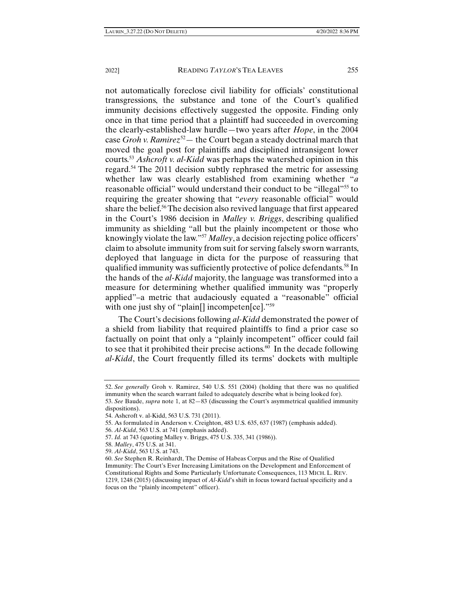not automatically foreclose civil liability for officials' constitutional transgressions, the substance and tone of the Court's qualified immunity decisions effectively suggested the opposite. Finding only once in that time period that a plaintiff had succeeded in overcoming the clearly-established-law hurdle—two years after *Hope*, in the 2004 case *Groh v. Ramirez*52— the Court began a steady doctrinal march that moved the goal post for plaintiffs and disciplined intransigent lower courts.53 *Ashcroft v. al-Kidd* was perhaps the watershed opinion in this regard.54 The 2011 decision subtly rephrased the metric for assessing whether law was clearly established from examining whether "*a*  reasonable official" would understand their conduct to be "illegal"<sup>55</sup> to requiring the greater showing that "*every* reasonable official" would share the belief.56 The decision also revived language that first appeared in the Court's 1986 decision in *Malley v. Briggs*, describing qualified immunity as shielding "all but the plainly incompetent or those who knowingly violate the law."57 *Malley*, a decision rejecting police officers' claim to absolute immunity from suit for serving falsely sworn warrants, deployed that language in dicta for the purpose of reassuring that qualified immunity was sufficiently protective of police defendants.58 In the hands of the *al-Kidd* majority, the language was transformed into a measure for determining whether qualified immunity was "properly applied"–a metric that audaciously equated a "reasonable" official with one just shy of "plain<sup>[]</sup> incompeten<sup>[ce]</sup>."<sup>59</sup>

The Court's decisions following *al-Kidd* demonstrated the power of a shield from liability that required plaintiffs to find a prior case so factually on point that only a "plainly incompetent" officer could fail to see that it prohibited their precise actions.<sup>60</sup> In the decade following *al-Kidd*, the Court frequently filled its terms' dockets with multiple

- 55. As formulated in Anderson v. Creighton, 483 U.S. 635, 637 (1987) (emphasis added).
- 56. *Al-Kidd*, 563 U.S. at 741 (emphasis added).

<sup>52.</sup> *See generally* Groh v. Ramirez, 540 U.S. 551 (2004) (holding that there was no qualified immunity when the search warrant failed to adequately describe what is being looked for).

<sup>53.</sup> *See* Baude, *supra* note 1, at 82—83 (discussing the Court's asymmetrical qualified immunity dispositions).

<sup>54.</sup> Ashcroft v. al-Kidd, 563 U.S. 731 (2011).

<sup>57.</sup> *Id.* at 743 (quoting Malley v. Briggs, 475 U.S. 335, 341 (1986)).

<sup>58.</sup> *Malley*, 475 U.S. at 341.

<sup>59.</sup> *Al-Kidd*, 563 U.S. at 743.

<sup>60.</sup> *See* Stephen R. Reinhardt, The Demise of Habeas Corpus and the Rise of Qualified Immunity: The Court's Ever Increasing Limitations on the Development and Enforcement of Constitutional Rights and Some Particularly Unfortunate Consequences, 113 MICH. L. REV. 1219, 1248 (2015) (discussing impact of *Al-Kidd*'s shift in focus toward factual specificity and a focus on the "plainly incompetent" officer).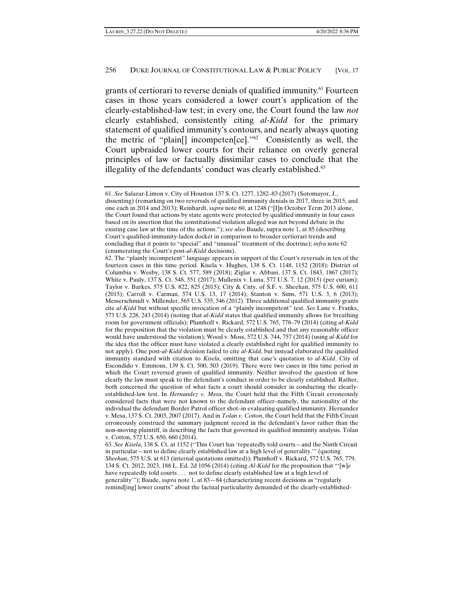grants of certiorari to reverse denials of qualified immunity.<sup>61</sup> Fourteen cases in those years considered a lower court's application of the clearly-established-law test; in every one, the Court found the law *not*  clearly established, consistently citing *al-Kidd* for the primary statement of qualified immunity's contours, and nearly always quoting the metric of "plain[] incompeten[ce]."62 Consistently as well, the Court upbraided lower courts for their reliance on overly general principles of law or factually dissimilar cases to conclude that the illegality of the defendants' conduct was clearly established.<sup>63</sup>

<sup>61.</sup> *See* Salazar-Limon v. City of Houston 137 S. Ct. 1277, 1282–83 (2017) (Sotomayor, J., dissenting) (remarking on two reversals of qualified immunity denials in 2017, three in 2015, and one each in 2014 and 2013); Reinhardt, *supra* note 60, at 1248 ("[I]n October Term 2013 alone, the Court found that actions by state agents were protected by qualified immunity in four cases based on its assertion that the constitutional violation alleged was not beyond debate in the existing case law at the time of the actions."); *see also* Baude, supra note 1, at 85 (describing Court's qualified-immunity-laden docket in comparison to broader certiorari trends and concluding that it points to "special" and "unusual" treatment of the doctrine); *infra* note 62 (enumerating the Court's post-*al-Kidd* decisions).

<sup>62.</sup> The "plainly incompetent" language appears in support of the Court's reversals in ten of the fourteen cases in this time period. Kisela v. Hughes, 138 S. Ct. 1148, 1152 (2018); District of Columbia v. Wesby, 138 S. Ct. 577, 589 (2018); Ziglar v. Abbasi, 137 S. Ct. 1843, 1867 (2017); White v. Pauly, 137 S. Ct. 548, 551 (2017); Mullenix v. Luna, 577 U.S. 7, 12 (2015) (per curiam); Taylor v. Barkes, 575 U.S. 822, 825 (2015); City & Cnty. of S.F. v. Sheehan, 575 U.S. 600, 611 (2015); Carroll v. Carman, 574 U.S. 13, 17 (2014); Stanton v. Sims, 571 U.S. 3, 6 (2013); Messerschmidt v. Millender, 565 U.S. 535, 546 (2012). Three additional qualified immunity grants cite *al-Kidd* but without specific invocation of a "plainly incompetent" test. *See* Lane v. Franks, 573 U.S. 228, 243 (2014) (noting that *al-Kidd* states that qualified immunity allows for breathing room for government officials); Plumhoff v. Rickard, 572 U.S. 765, 778–79 (2014) (citing *al-Kidd*  for the proposition that the violation must be clearly established and that any reasonable officer would have understood the violation); Wood v. Moss, 572 U.S. 744, 757 (2014) (using *al-Kidd* for the idea that the officer must have violated a clearly established right for qualified immunity to not apply). One post-*al-Kidd* decision failed to cite *al-Kidd*, but instead elaborated the qualified immunity standard with citation to *Kisela*, omitting that case's quotation to *al-Kidd*. City of Escondido v. Emmons, 139 S. Ct. 500, 503 (2019). There were two cases in this time period in which the Court reversed *grants* of qualified immunity. Neither involved the question of how clearly the law must speak to the defendant's conduct in order to be clearly established. Rather, both concerned the question of what facts a court should consider in conducting the clearlyestablished-law test. In *Hernandez v. Mesa*, the Court held that the Fifth Circuit erroneously considered facts that were not known to the defendant officer–namely, the nationality of the individual the defendant Border Patrol officer shot–in evaluating qualified immunity. Hernandez v. Mesa, 137 S. Ct. 2003, 2007 (2017). And in *Tolan v. Cotton*, the Court held that the Fifth Circuit erroneously construed the summary judgment record in the defendant's favor rather than the non-moving plaintiff, in describing the facts that governed its qualified immunity analysis. Tolan v. Cotton, 572 U.S. 650, 660 (2014).

<sup>63.</sup> *See Kisela*, 138 S. Ct. at 1152 ("This Court has 'repeatedly told courts—and the Ninth Circuit in particular—not to define clearly established law at a high level of generality.'" (quoting *Sheehan*, 575 U.S. at 613 (internal quotations omitted)); Plumhoff v. Rickard, 572 U.S. 765, 779, 134 S. Ct. 2012, 2023, 188 L. Ed. 2d 1056 (2014) (citing *Al-Kidd* for the proposition that "'[w]e have repeatedly told courts . . . not to define clearly established law at a high level of generality'"); Baude, *supra* note 1, at 83—84 (characterizing recent decisions as "regularly remind[ing] lower courts" about the factual particularity demanded of the clearly-established-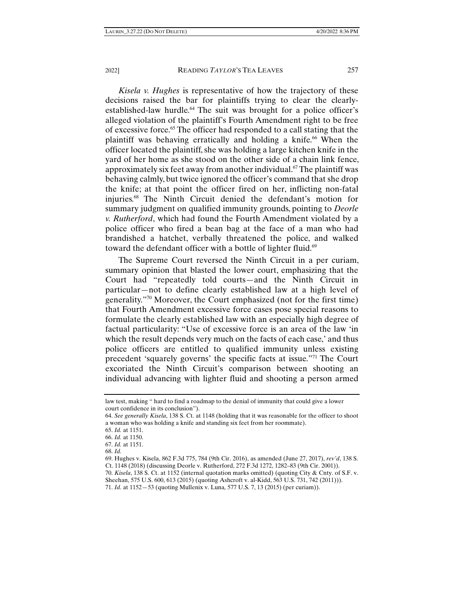*Kisela v. Hughes* is representative of how the trajectory of these decisions raised the bar for plaintiffs trying to clear the clearlyestablished-law hurdle.<sup>64</sup> The suit was brought for a police officer's alleged violation of the plaintiff's Fourth Amendment right to be free of excessive force.65 The officer had responded to a call stating that the plaintiff was behaving erratically and holding a knife.66 When the officer located the plaintiff, she was holding a large kitchen knife in the yard of her home as she stood on the other side of a chain link fence, approximately six feet away from another individual.67 The plaintiff was behaving calmly, but twice ignored the officer's command that she drop the knife; at that point the officer fired on her, inflicting non-fatal injuries.68 The Ninth Circuit denied the defendant's motion for summary judgment on qualified immunity grounds, pointing to *Deorle v. Rutherford*, which had found the Fourth Amendment violated by a police officer who fired a bean bag at the face of a man who had brandished a hatchet, verbally threatened the police, and walked toward the defendant officer with a bottle of lighter fluid.<sup>69</sup>

The Supreme Court reversed the Ninth Circuit in a per curiam, summary opinion that blasted the lower court, emphasizing that the Court had "repeatedly told courts—and the Ninth Circuit in particular—not to define clearly established law at a high level of generality."70 Moreover, the Court emphasized (not for the first time) that Fourth Amendment excessive force cases pose special reasons to formulate the clearly established law with an especially high degree of factual particularity: "Use of excessive force is an area of the law 'in which the result depends very much on the facts of each case,' and thus police officers are entitled to qualified immunity unless existing precedent 'squarely governs' the specific facts at issue."71 The Court excoriated the Ninth Circuit's comparison between shooting an individual advancing with lighter fluid and shooting a person armed

Sheehan, 575 U.S. 600, 613 (2015) (quoting Ashcroft v. al-Kidd, 563 U.S. 731, 742 (2011))).

law test, making " hard to find a roadmap to the denial of immunity that could give a lower court confidence in its conclusion").

<sup>64.</sup> *See generally Kisela*, 138 S. Ct. at 1148 (holding that it was reasonable for the officer to shoot a woman who was holding a knife and standing six feet from her roommate).

<sup>65.</sup> *Id.* at 1151.

<sup>66.</sup> *Id.* at 1150.

<sup>67.</sup> *Id.* at 1151.

<sup>68.</sup> *Id.*

<sup>69.</sup> Hughes v. Kisela, 862 F.3d 775, 784 (9th Cir. 2016), as amended (June 27, 2017), *rev'd*, 138 S. Ct. 1148 (2018) (discussing Deorle v. Rutherford, 272 F.3d 1272, 1282–83 (9th Cir. 2001)).

<sup>70.</sup> *Kisela*, 138 S. Ct. at 1152 (internal quotation marks omitted) (quoting City & Cnty. of S.F. v.

<sup>71.</sup> *Id.* at 1152—53 (quoting Mullenix v. Luna*,* 577 U.S. 7, 13 (2015) (per curiam)).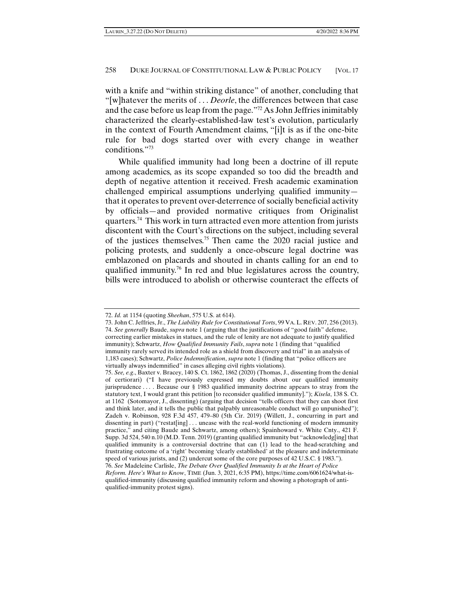with a knife and "within striking distance" of another, concluding that "[w]hatever the merits of . . . *Deorle*, the differences between that case and the case before us leap from the page."72 As John Jeffries inimitably characterized the clearly-established-law test's evolution, particularly in the context of Fourth Amendment claims, "[i]t is as if the one-bite rule for bad dogs started over with every change in weather conditions."73

While qualified immunity had long been a doctrine of ill repute among academics, as its scope expanded so too did the breadth and depth of negative attention it received. Fresh academic examination challenged empirical assumptions underlying qualified immunity that it operates to prevent over-deterrence of socially beneficial activity by officials—and provided normative critiques from Originalist quarters.74 This work in turn attracted even more attention from jurists discontent with the Court's directions on the subject, including several of the justices themselves.75 Then came the 2020 racial justice and policing protests, and suddenly a once-obscure legal doctrine was emblazoned on placards and shouted in chants calling for an end to qualified immunity.76 In red and blue legislatures across the country, bills were introduced to abolish or otherwise counteract the effects of

<sup>72.</sup> *Id.* at 1154 (quoting *Sheehan*, 575 U.S. at 614).

<sup>73.</sup> John C. Jeffries, Jr., *The Liability Rule for Constitutional Torts*, 99 VA.L. REV. 207, 256 (2013). 74. *See generally* Baude, *supra* note 1 (arguing that the justifications of "good faith" defense, correcting earlier mistakes in statues, and the rule of lenity are not adequate to justify qualified immunity); Schwartz, *How Qualified Immunity Fails*, *supra* note 1 (finding that "qualified immunity rarely served its intended role as a shield from discovery and trial" in an analysis of 1,183 cases); Schwartz, *Police Indemnification*, *supra* note 1 (finding that "police officers are virtually always indemnified" in cases alleging civil rights violations).

<sup>75.</sup> *See, e.g*., Baxter v. Bracey, 140 S. Ct. 1862, 1862 (2020) (Thomas, J., dissenting from the denial of certiorari) ("I have previously expressed my doubts about our qualified immunity jurisprudence . . . . Because our § 1983 qualified immunity doctrine appears to stray from the statutory text, I would grant this petition [to reconsider qualified immunity]."); *Kisela*, 138 S. Ct. at 1162 (Sotomayor, J., dissenting) (arguing that decision "tells officers that they can shoot first and think later, and it tells the public that palpably unreasonable conduct will go unpunished"); Zadeh v. Robinson, 928 F.3d 457, 479–80 (5th Cir. 2019) (Willett, J., concurring in part and dissenting in part) ("restat[ing] ... unease with the real-world functioning of modern immunity practice," and citing Baude and Schwartz, among others); Spainhoward v. White Cnty., 421 F. Supp. 3d 524, 540 n.10 (M.D. Tenn. 2019) (granting qualified immunity but "acknowledg[ing] that qualified immunity is a controversial doctrine that can (1) lead to the head-scratching and frustrating outcome of a 'right' becoming 'clearly established' at the pleasure and indeterminate speed of various jurists, and (2) undercut some of the core purposes of 42 U.S.C. § 1983."). 76. *See* Madeleine Carlisle, *The Debate Over Qualified Immunity Is at the Heart of Police* 

*Reform. Here's What to Know*, TIME (Jun. 3, 2021, 6:35 PM), https://time.com/6061624/what-isqualified-immunity (discussing qualified immunity reform and showing a photograph of antiqualified-immunity protest signs).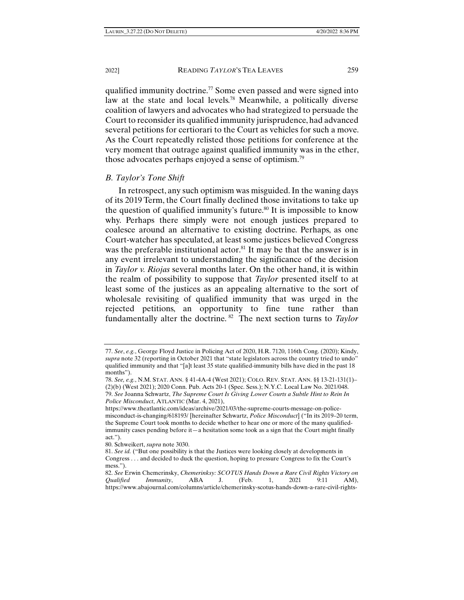qualified immunity doctrine.77 Some even passed and were signed into law at the state and local levels.<sup>78</sup> Meanwhile, a politically diverse coalition of lawyers and advocates who had strategized to persuade the Court to reconsider its qualified immunity jurisprudence, had advanced several petitions for certiorari to the Court as vehicles for such a move. As the Court repeatedly relisted those petitions for conference at the very moment that outrage against qualified immunity was in the ether, those advocates perhaps enjoyed a sense of optimism.<sup>79</sup>

### *B. Taylor's Tone Shift*

In retrospect, any such optimism was misguided. In the waning days of its 2019 Term, the Court finally declined those invitations to take up the question of qualified immunity's future.<sup>80</sup> It is impossible to know why. Perhaps there simply were not enough justices prepared to coalesce around an alternative to existing doctrine. Perhaps, as one Court-watcher has speculated, at least some justices believed Congress was the preferable institutional actor.<sup>81</sup> It may be that the answer is in any event irrelevant to understanding the significance of the decision in *Taylor v. Riojas* several months later. On the other hand, it is within the realm of possibility to suppose that *Taylor* presented itself to at least some of the justices as an appealing alternative to the sort of wholesale revisiting of qualified immunity that was urged in the rejected petitions, an opportunity to fine tune rather than fundamentally alter the doctrine. 82 The next section turns to *Taylor* 

<sup>77.</sup> *See*, *e.g.*, George Floyd Justice in Policing Act of 2020, H.R. 7120, 116th Cong. (2020); Kindy, *supra* note 32 (reporting in October 2021 that "state legislators across the country tried to undo" qualified immunity and that "[a]t least 35 state qualified-immunity bills have died in the past 18 months").

<sup>78.</sup> *See, e.g.*, N.M. STAT. ANN. § 41-4A-4 (West 2021); COLO. REV. STAT. ANN. §§ 13-21-131(1)– (2)(b) (West 2021); 2020 Conn. Pub. Acts 20-1 (Spec. Sess.); N.Y.C. Local Law No. 2021/048. 79. *See* Joanna Schwartz, *The Supreme Court Is Giving Lower Courts a Subtle Hint to Rein In Police Misconduct*, ATLANTIC (Mar. 4, 2021),

https://www.theatlantic.com/ideas/archive/2021/03/the-supreme-courts-message-on-policemisconduct-is-changing/618193/ [hereinafter Schwartz, *Police Misconduct*] ("In its 2019–20 term, the Supreme Court took months to decide whether to hear one or more of the many qualifiedimmunity cases pending before it—a hesitation some took as a sign that the Court might finally act.").

<sup>80.</sup> Schweikert, *supra* note 3030.

<sup>81.</sup> *See id.* ("But one possibility is that the Justices were looking closely at developments in Congress . . . and decided to duck the question, hoping to pressure Congress to fix the Court's mess.").

<sup>82.</sup> *See* Erwin Chemerinsky, *Chemerinksy: SCOTUS Hands Down a Rare Civil Rights Victory on Qualified Immunity*, ABA J. (Feb. 1, 2021 9:11 AM), https://www.abajournal.com/columns/article/chemerinsky-scotus-hands-down-a-rare-civil-rights-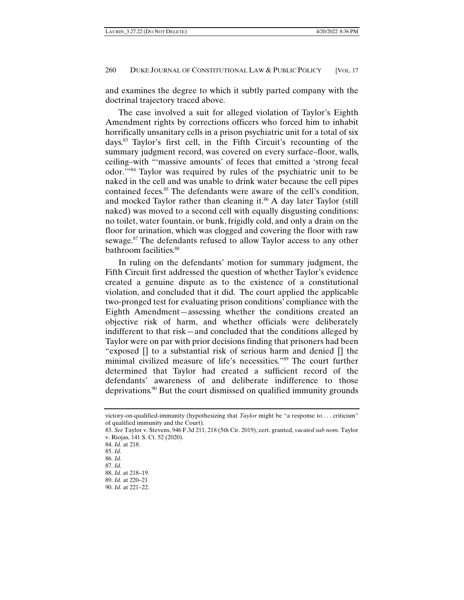and examines the degree to which it subtly parted company with the doctrinal trajectory traced above.

The case involved a suit for alleged violation of Taylor's Eighth Amendment rights by corrections officers who forced him to inhabit horrifically unsanitary cells in a prison psychiatric unit for a total of six days.83 Taylor's first cell, in the Fifth Circuit's recounting of the summary judgment record, was covered on every surface–floor, walls, ceiling–with "'massive amounts' of feces that emitted a 'strong fecal odor.'"84 Taylor was required by rules of the psychiatric unit to be naked in the cell and was unable to drink water because the cell pipes contained feces.<sup>85</sup> The defendants were aware of the cell's condition, and mocked Taylor rather than cleaning it.<sup>86</sup> A day later Taylor (still naked) was moved to a second cell with equally disgusting conditions: no toilet, water fountain, or bunk, frigidly cold, and only a drain on the floor for urination, which was clogged and covering the floor with raw sewage.87 The defendants refused to allow Taylor access to any other bathroom facilities.<sup>88</sup>

In ruling on the defendants' motion for summary judgment, the Fifth Circuit first addressed the question of whether Taylor's evidence created a genuine dispute as to the existence of a constitutional violation, and concluded that it did. The court applied the applicable two-pronged test for evaluating prison conditions' compliance with the Eighth Amendment—assessing whether the conditions created an objective risk of harm, and whether officials were deliberately indifferent to that risk—and concluded that the conditions alleged by Taylor were on par with prior decisions finding that prisoners had been "exposed [] to a substantial risk of serious harm and denied [] the minimal civilized measure of life's necessities."89 The court further determined that Taylor had created a sufficient record of the defendants' awareness of and deliberate indifference to those deprivations.90 But the court dismissed on qualified immunity grounds

victory-on-qualified-immunity (hypothesizing that *Taylor* might be "a response to . . . criticism" of qualified immunity and the Court).

<sup>83.</sup> *See* Taylor v. Stevens, 946 F.3d 211, 218 (5th Cir. 2019), cert. granted, *vacated sub nom*. Taylor v. Riojas, 141 S. Ct. 52 (2020).

<sup>84.</sup> *Id.* at 218.

<sup>85.</sup> *Id.*

<sup>86.</sup> *Id.* 

<sup>87.</sup> *Id.*

<sup>88.</sup> *Id.* at 218–19.

<sup>89.</sup> *Id.* at 220–21

<sup>90.</sup> *Id.* at 221–22.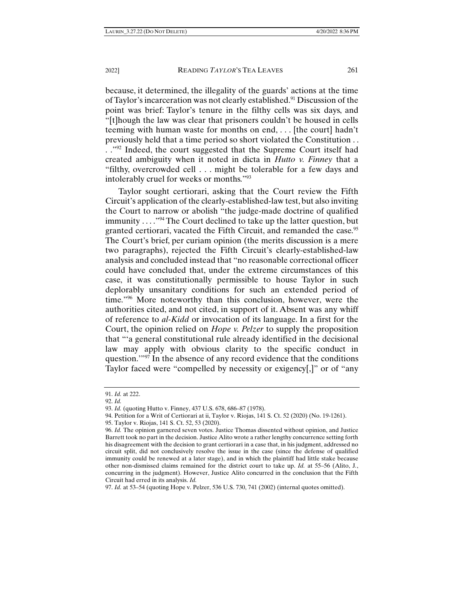because, it determined, the illegality of the guards' actions at the time of Taylor's incarceration was not clearly established.<sup>91</sup> Discussion of the point was brief: Taylor's tenure in the filthy cells was six days, and "[t]hough the law was clear that prisoners couldn't be housed in cells teeming with human waste for months on end, . . . [the court] hadn't previously held that a time period so short violated the Constitution . . . . "92 Indeed, the court suggested that the Supreme Court itself had created ambiguity when it noted in dicta in *Hutto v. Finney* that a "filthy, overcrowded cell . . . might be tolerable for a few days and intolerably cruel for weeks or months."93

Taylor sought certiorari, asking that the Court review the Fifth Circuit's application of the clearly-established-law test, but also inviting the Court to narrow or abolish "the judge-made doctrine of qualified immunity . . . ."94 The Court declined to take up the latter question, but granted certiorari, vacated the Fifth Circuit, and remanded the case.<sup>95</sup> The Court's brief, per curiam opinion (the merits discussion is a mere two paragraphs), rejected the Fifth Circuit's clearly-established-law analysis and concluded instead that "no reasonable correctional officer could have concluded that, under the extreme circumstances of this case, it was constitutionally permissible to house Taylor in such deplorably unsanitary conditions for such an extended period of time."96 More noteworthy than this conclusion, however, were the authorities cited, and not cited, in support of it. Absent was any whiff of reference to *al-Kidd* or invocation of its language. In a first for the Court, the opinion relied on *Hope v. Pelzer* to supply the proposition that "'a general constitutional rule already identified in the decisional law may apply with obvious clarity to the specific conduct in question."<sup>97</sup> In the absence of any record evidence that the conditions Taylor faced were "compelled by necessity or exigency[,]" or of "any

95. Taylor v. Riojas, 141 S. Ct. 52, 53 (2020).

<sup>91.</sup> *Id.* at 222.

<sup>92.</sup> *Id.*

<sup>93.</sup> *Id.* (quoting Hutto v. Finney, 437 U.S. 678, 686–87 (1978).

<sup>94.</sup> Petition for a Writ of Certiorari at ii, Taylor v. Riojas, 141 S. Ct. 52 (2020) (No. 19-1261).

<sup>96.</sup> *Id.* The opinion garnered seven votes. Justice Thomas dissented without opinion, and Justice Barrett took no part in the decision. Justice Alito wrote a rather lengthy concurrence setting forth his disagreement with the decision to grant certiorari in a case that, in his judgment, addressed no circuit split, did not conclusively resolve the issue in the case (since the defense of qualified immunity could be renewed at a later stage), and in which the plaintiff had little stake because other non-dismissed claims remained for the district court to take up. *Id.* at 55–56 (Alito, J*.*, concurring in the judgment). However, Justice Alito concurred in the conclusion that the Fifth Circuit had erred in its analysis. *Id.*

<sup>97.</sup> *Id.* at 53–54 (quoting Hope v. Pelzer, 536 U.S. 730, 741 (2002) (internal quotes omitted).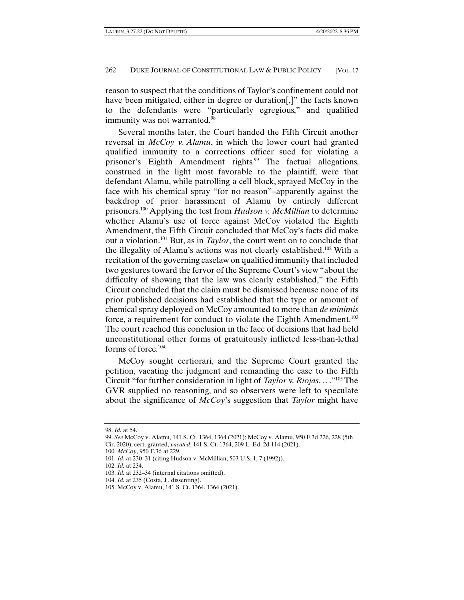reason to suspect that the conditions of Taylor's confinement could not have been mitigated, either in degree or duration[,]" the facts known to the defendants were "particularly egregious," and qualified immunity was not warranted.<sup>98</sup>

Several months later, the Court handed the Fifth Circuit another reversal in *McCoy v. Alamu*, in which the lower court had granted qualified immunity to a corrections officer sued for violating a prisoner's Eighth Amendment rights.<sup>99</sup> The factual allegations, construed in the light most favorable to the plaintiff, were that defendant Alamu, while patrolling a cell block, sprayed McCoy in the face with his chemical spray "for no reason"–apparently against the backdrop of prior harassment of Alamu by entirely different prisoners.100 Applying the test from *Hudson v. McMillian* to determine whether Alamu's use of force against McCoy violated the Eighth Amendment, the Fifth Circuit concluded that McCoy's facts did make out a violation.101 But, as in *Taylor*, the court went on to conclude that the illegality of Alamu's actions was not clearly established.102 With a recitation of the governing caselaw on qualified immunity that included two gestures toward the fervor of the Supreme Court's view "about the difficulty of showing that the law was clearly established," the Fifth Circuit concluded that the claim must be dismissed because none of its prior published decisions had established that the type or amount of chemical spray deployed on McCoy amounted to more than *de minimis*  force, a requirement for conduct to violate the Eighth Amendment.<sup>103</sup> The court reached this conclusion in the face of decisions that had held unconstitutional other forms of gratuitously inflicted less-than-lethal forms of force.<sup>104</sup>

McCoy sought certiorari, and the Supreme Court granted the petition, vacating the judgment and remanding the case to the Fifth Circuit "for further consideration in light of *Taylor* v. *Riojas*. . . ."105 The GVR supplied no reasoning, and so observers were left to speculate about the significance of *McCoy*'s suggestion that *Taylor* might have

<sup>98.</sup> *Id.* at 54.

<sup>99.</sup> *See* McCoy v. Alamu, 141 S. Ct. 1364, 1364 (2021); McCoy v. Alamu, 950 F.3d 226, 228 (5th Cir. 2020), cert. granted, *vacated*, 141 S. Ct. 1364, 209 L. Ed. 2d 114 (2021).

<sup>100.</sup> *McCoy*, 950 F.3d at 229.

<sup>101.</sup> *Id.* at 230–31 (citing Hudson v. McMillian, 503 U.S. 1, 7 (1992)).

<sup>102.</sup> *Id.* at 234.

<sup>103.</sup> *Id.* at 232–34 (internal citations omitted).

<sup>104.</sup> *Id.* at 235 (Costa, J*.*, dissenting).

<sup>105.</sup> McCoy v. Alamu, 141 S. Ct. 1364, 1364 (2021).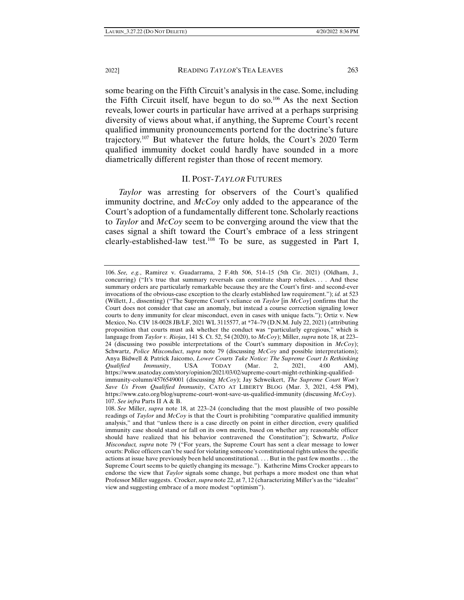some bearing on the Fifth Circuit's analysis in the case. Some, including the Fifth Circuit itself, have begun to do so.<sup>106</sup> As the next Section reveals, lower courts in particular have arrived at a perhaps surprising diversity of views about what, if anything, the Supreme Court's recent qualified immunity pronouncements portend for the doctrine's future trajectory.107 But whatever the future holds, the Court's 2020 Term qualified immunity docket could hardly have sounded in a more diametrically different register than those of recent memory.

#### II. POST-*TAYLOR* FUTURES

*Taylor* was arresting for observers of the Court's qualified immunity doctrine, and *McCoy* only added to the appearance of the Court's adoption of a fundamentally different tone. Scholarly reactions to *Taylor* and *McCoy* seem to be converging around the view that the cases signal a shift toward the Court's embrace of a less stringent clearly-established-law test.108 To be sure, as suggested in Part I,

<sup>106.</sup> *See, e.g.*, Ramirez v. Guadarrama, 2 F.4th 506, 514–15 (5th Cir. 2021) (Oldham, J., concurring) ("It's true that summary reversals can constitute sharp rebukes. . . . And these summary orders are particularly remarkable because they are the Court's first- and second-ever invocations of the obvious-case exception to the clearly established law requirement."); *id.* at 523 (Willett, J., dissenting) ("The Supreme Court's reliance on *Taylor* [in *McCoy*] confirms that the Court does not consider that case an anomaly, but instead a course correction signaling lower courts to deny immunity for clear misconduct, even in cases with unique facts."); Ortiz v. New Mexico, No. CIV 18-0028 JB/LF, 2021 WL 3115577, at \*74–79 (D.N.M. July 22, 2021) (attributing proposition that courts must ask whether the conduct was "particularly egregious," which is language from *Taylor v. Riojas*, 141 S. Ct. 52, 54 (2020), to *McCoy*); Miller, *supra* note 18, at 223– 24 (discussing two possible interpretations of the Court's summary disposition in *McCoy*); Schwartz, *Police Misconduct*, *supra* note 79 (discussing *McCoy* and possible interpretations); Anya Bidwell & Patrick Jaicomo, *Lower Courts Take Notice: The Supreme Court Is Rethinking Qualified Immunity*, USA TODAY (Mar. 2, 2021, 4:00 AM), https://www.usatoday.com/story/opinion/2021/03/02/supreme-court-might-rethinking-qualifiedimmunity-column/4576549001 (discussing *McCoy*); Jay Schweikert, *The Supreme Court Won't Save Us From Qualified Immunity*, CATO AT LIBERTY BLOG (Mar. 3, 2021, 4:58 PM), https://www.cato.org/blog/supreme-court-wont-save-us-qualified-immunity (discussing *McCoy*). 107. *See infra* Parts II A & B.

<sup>108.</sup> *See* Miller, *supra* note 18, at 223–24 (concluding that the most plausible of two possible readings of *Taylor* and *McCoy* is that the Court is prohibiting "comparative qualified immunity analysis," and that "unless there is a case directly on point in either direction, every qualified immunity case should stand or fall on its own merits, based on whether any reasonable officer should have realized that his behavior contravened the Constitution"); Schwartz, *Police Misconduct, supra* note 79 ("For years, the Supreme Court has sent a clear message to lower courts: Police officers can't be sued for violating someone's constitutional rights unless the specific actions at issue have previously been held unconstitutional. . . . But in the past few months . . . the Supreme Court seems to be quietly changing its message."). Katherine Mims Crocker appears to endorse the view that *Taylor* signals some change, but perhaps a more modest one than what Professor Miller suggests. Crocker, *supra* note 22, at 7, 12 (characterizing Miller's as the "idealist" view and suggesting embrace of a more modest "optimism").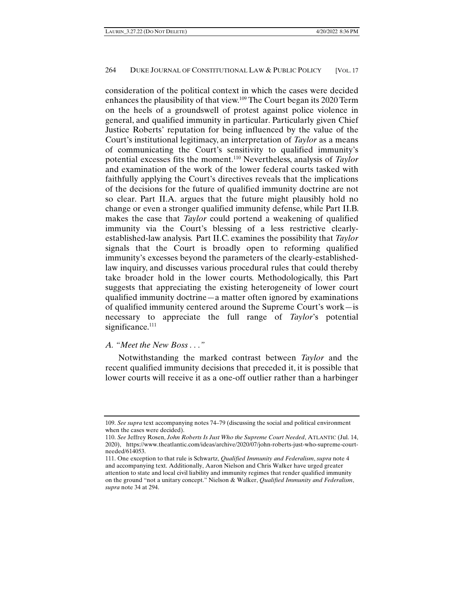consideration of the political context in which the cases were decided enhances the plausibility of that view.109 The Court began its 2020 Term on the heels of a groundswell of protest against police violence in general, and qualified immunity in particular. Particularly given Chief Justice Roberts' reputation for being influenced by the value of the Court's institutional legitimacy, an interpretation of *Taylor* as a means of communicating the Court's sensitivity to qualified immunity's potential excesses fits the moment.110 Nevertheless, analysis of *Taylor* and examination of the work of the lower federal courts tasked with faithfully applying the Court's directives reveals that the implications of the decisions for the future of qualified immunity doctrine are not so clear. Part II.A. argues that the future might plausibly hold no change or even a stronger qualified immunity defense, while Part II.B. makes the case that *Taylor* could portend a weakening of qualified immunity via the Court's blessing of a less restrictive clearlyestablished-law analysis. Part II.C. examines the possibility that *Taylor*  signals that the Court is broadly open to reforming qualified immunity's excesses beyond the parameters of the clearly-establishedlaw inquiry, and discusses various procedural rules that could thereby take broader hold in the lower courts. Methodologically, this Part suggests that appreciating the existing heterogeneity of lower court qualified immunity doctrine—a matter often ignored by examinations of qualified immunity centered around the Supreme Court's work—is necessary to appreciate the full range of *Taylor*'s potential significance.<sup>111</sup>

# *A. "Meet the New Boss . . ."*

Notwithstanding the marked contrast between *Taylor* and the recent qualified immunity decisions that preceded it, it is possible that lower courts will receive it as a one-off outlier rather than a harbinger

<sup>109.</sup> *See supra* text accompanying notes 74–79 (discussing the social and political environment when the cases were decided).

<sup>110.</sup> *See* Jeffrey Rosen, *John Roberts Is Just Who the Supreme Court Needed*, ATLANTIC (Jul. 14, 2020), https://www.theatlantic.com/ideas/archive/2020/07/john-roberts-just-who-supreme-courtneeded/614053.

<sup>111.</sup> One exception to that rule is Schwartz, *Qualified Immunity and Federalism*, *supra* note 4 and accompanying text. Additionally, Aaron Nielson and Chris Walker have urged greater attention to state and local civil liability and immunity regimes that render qualified immunity on the ground "not a unitary concept." Nielson & Walker, *Qualified Immunity and Federalism*, *supra* note 34 at 294.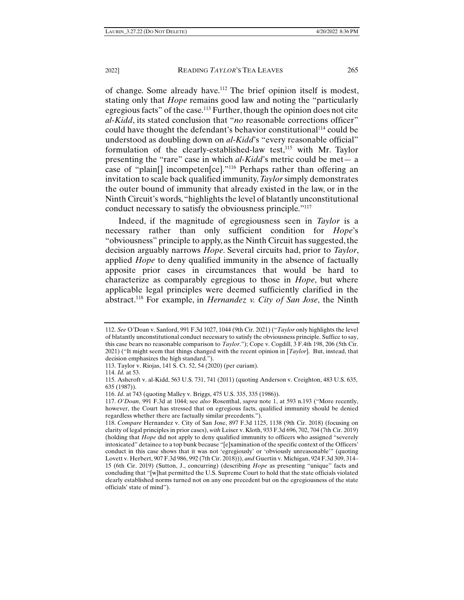of change. Some already have.112 The brief opinion itself is modest, stating only that *Hope* remains good law and noting the "particularly egregious facts" of the case.113 Further, though the opinion does not cite *al-Kidd*, its stated conclusion that "*no* reasonable corrections officer" could have thought the defendant's behavior constitutional<sup>114</sup> could be understood as doubling down on *al-Kidd*'s "every reasonable official" formulation of the clearly-established-law test, $^{115}$  with Mr. Taylor presenting the "rare" case in which *al-Kidd*'s metric could be met— a case of "plain[] incompeten[ce]."116 Perhaps rather than offering an invitation to scale back qualified immunity, *Taylor* simply demonstrates the outer bound of immunity that already existed in the law, or in the Ninth Circuit's words, "highlights the level of blatantly unconstitutional conduct necessary to satisfy the obviousness principle."117

Indeed, if the magnitude of egregiousness seen in *Taylor* is a necessary rather than only sufficient condition for *Hope*'s "obviousness" principle to apply, as the Ninth Circuit has suggested, the decision arguably narrows *Hope*. Several circuits had, prior to *Taylor*, applied *Hope* to deny qualified immunity in the absence of factually apposite prior cases in circumstances that would be hard to characterize as comparably egregious to those in *Hope*, but where applicable legal principles were deemed sufficiently clarified in the abstract.118 For example, in *Hernandez v. City of San Jose*, the Ninth

<sup>112.</sup> *See* O'Doan v. Sanford, 991 F.3d 1027, 1044 (9th Cir. 2021) ("*Taylor* only highlights the level of blatantly unconstitutional conduct necessary to satisfy the obviousness principle. Suffice to say, this case bears no reasonable comparison to *Taylor*."); Cope v. Cogdill, 3 F.4th 198, 206 (5th Cir. 2021) ("It might seem that things changed with the recent opinion in [*Taylor*]. But, instead, that decision emphasizes the high standard.").

<sup>113.</sup> Taylor v. Riojas, 141 S. Ct. 52, 54 (2020) (per curiam).

<sup>114.</sup> *Id.* at 53.

<sup>115.</sup> Ashcroft v. al-Kidd, 563 U.S. 731, 741 (2011) (quoting Anderson v. Creighton, 483 U.S. 635, 635 (1987)).

<sup>116.</sup> *Id.* at 743 (quoting Malley v. Briggs, 475 U.S. 335, 335 (1986)).

<sup>117.</sup> *O'Doan*, 991 F.3d at 1044; see *also* Rosenthal, *supra* note 1, at 593 n.193 ("More recently, however, the Court has stressed that on egregious facts, qualified immunity should be denied regardless whether there are factually similar precedents.").

<sup>118.</sup> *Compare* Hernandez v. City of San Jose, 897 F.3d 1125, 1138 (9th Cir. 2018) (focusing on clarity of legal principles in prior cases), *with* Leiser v. Kloth, 933 F.3d 696, 702, 704 (7th Cir. 2019) (holding that *Hope* did not apply to deny qualified immunity to officers who assigned "severely intoxicated" detainee to a top bunk because "[e]xamination of the specific context of the Officers' conduct in this case shows that it was not 'egregiously' or 'obviously unreasonable'" (quoting Lovett v. Herbert, 907 F.3d 986, 992 (7th Cir. 2018))), *and* Guertin v. Michigan, 924 F.3d 309, 314– 15 (6th Cir. 2019) (Sutton, J., concurring) (describing *Hope* as presenting "unique" facts and concluding that "[w]hat permitted the U.S. Supreme Court to hold that the state officials violated clearly established norms turned not on any one precedent but on the egregiousness of the state officials' state of mind").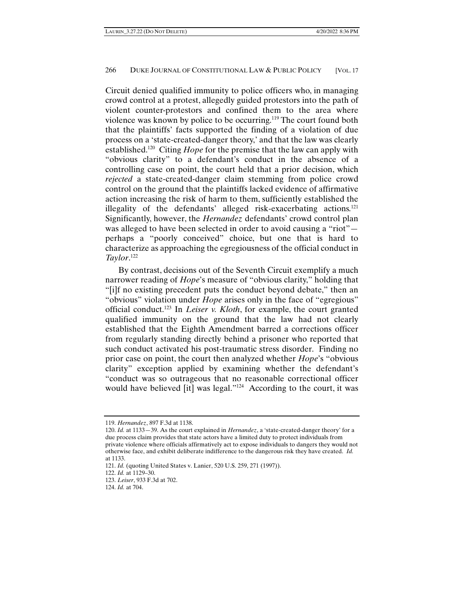Circuit denied qualified immunity to police officers who, in managing crowd control at a protest, allegedly guided protestors into the path of violent counter-protestors and confined them to the area where violence was known by police to be occurring.119 The court found both that the plaintiffs' facts supported the finding of a violation of due process on a 'state-created-danger theory,' and that the law was clearly established.120 Citing *Hope* for the premise that the law can apply with "obvious clarity" to a defendant's conduct in the absence of a controlling case on point, the court held that a prior decision, which *rejected* a state-created-danger claim stemming from police crowd control on the ground that the plaintiffs lacked evidence of affirmative action increasing the risk of harm to them, sufficiently established the illegality of the defendants' alleged risk-exacerbating actions.121 Significantly, however, the *Hernandez* defendants' crowd control plan was alleged to have been selected in order to avoid causing a "riot"perhaps a "poorly conceived" choice, but one that is hard to characterize as approaching the egregiousness of the official conduct in *Taylor*. 122

By contrast, decisions out of the Seventh Circuit exemplify a much narrower reading of *Hope*'s measure of "obvious clarity," holding that "[i]f no existing precedent puts the conduct beyond debate," then an "obvious" violation under *Hope* arises only in the face of "egregious" official conduct.123 In *Leiser v. Kloth*, for example, the court granted qualified immunity on the ground that the law had not clearly established that the Eighth Amendment barred a corrections officer from regularly standing directly behind a prisoner who reported that such conduct activated his post-traumatic stress disorder. Finding no prior case on point, the court then analyzed whether *Hope*'s "obvious clarity" exception applied by examining whether the defendant's "conduct was so outrageous that no reasonable correctional officer would have believed [it] was legal."124 According to the court, it was

<sup>119.</sup> *Hernandez*, 897 F.3d at 1138.

<sup>120.</sup> *Id.* at 1133—39. As the court explained in *Hernandez*, a 'state-created-danger theory' for a due process claim provides that state actors have a limited duty to protect individuals from private violence where officials affirmatively act to expose individuals to dangers they would not otherwise face, and exhibit deliberate indifference to the dangerous risk they have created. *Id.* at 1133.

<sup>121.</sup> *Id.* (quoting United States v. Lanier, 520 U.S. 259, 271 (1997)).

<sup>122.</sup> *Id.* at 1129–30.

<sup>123.</sup> *Leiser*, 933 F.3d at 702.

<sup>124.</sup> *Id.* at 704.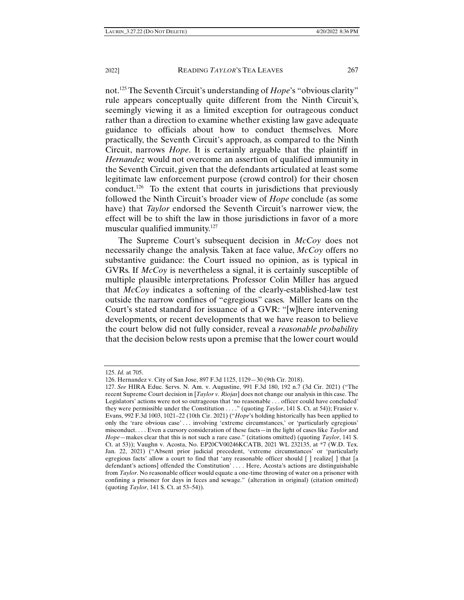not.125 The Seventh Circuit's understanding of *Hope*'s "obvious clarity" rule appears conceptually quite different from the Ninth Circuit's, seemingly viewing it as a limited exception for outrageous conduct rather than a direction to examine whether existing law gave adequate guidance to officials about how to conduct themselves. More practically, the Seventh Circuit's approach, as compared to the Ninth Circuit, narrows *Hope*. It is certainly arguable that the plaintiff in *Hernandez* would not overcome an assertion of qualified immunity in the Seventh Circuit, given that the defendants articulated at least some legitimate law enforcement purpose (crowd control) for their chosen conduct.<sup>126</sup> To the extent that courts in jurisdictions that previously followed the Ninth Circuit's broader view of *Hope* conclude (as some have) that *Taylor* endorsed the Seventh Circuit's narrower view, the effect will be to shift the law in those jurisdictions in favor of a more muscular qualified immunity.<sup>127</sup>

The Supreme Court's subsequent decision in *McCoy* does not necessarily change the analysis. Taken at face value, *McCoy* offers no substantive guidance: the Court issued no opinion, as is typical in GVRs. If *McCoy* is nevertheless a signal, it is certainly susceptible of multiple plausible interpretations. Professor Colin Miller has argued that *McCoy* indicates a softening of the clearly-established-law test outside the narrow confines of "egregious" cases. Miller leans on the Court's stated standard for issuance of a GVR: "[w]here intervening developments, or recent developments that we have reason to believe the court below did not fully consider, reveal a *reasonable probability* that the decision below rests upon a premise that the lower court would

<sup>125.</sup> *Id.* at 705.

<sup>126.</sup> Hernandez v. City of San Jose, 897 F.3d 1125, 1129—30 (9th Cir. 2018).

<sup>127.</sup> *See* HIRA Educ. Servs. N. Am. v. Augustine, 991 F.3d 180, 192 n.7 (3d Cir. 2021) ("The recent Supreme Court decision in [*Taylor v. Riojas*] does not change our analysis in this case. The Legislators' actions were not so outrageous that 'no reasonable . . . officer could have concluded' they were permissible under the Constitution . . . ." (quoting *Taylor*, 141 S. Ct. at 54)); Frasier v. Evans, 992 F.3d 1003, 1021–22 (10th Cir. 2021) ("*Hope*'s holding historically has been applied to only the 'rare obvious case' . . . involving 'extreme circumstances,' or 'particularly egregious' misconduct. . . . Even a cursory consideration of these facts—in the light of cases like *Taylor* and *Hope*—makes clear that this is not such a rare case." (citations omitted) (quoting *Taylor*, 141 S. Ct. at 53)); Vaughn v. Acosta, No. EP20CV00246KCATB, 2021 WL 232135, at \*7 (W.D. Tex. Jan. 22, 2021) ("Absent prior judicial precedent, 'extreme circumstances' or 'particularly egregious facts' allow a court to find that 'any reasonable officer should [ ] realize[ ] that [a defendant's actions] offended the Constitution' . . . . Here, Acosta's actions are distinguishable from *Taylor*. No reasonable officer would equate a one-time throwing of water on a prisoner with confining a prisoner for days in feces and sewage." (alteration in original) (citation omitted) (quoting *Taylor*, 141 S. Ct. at 53–54)).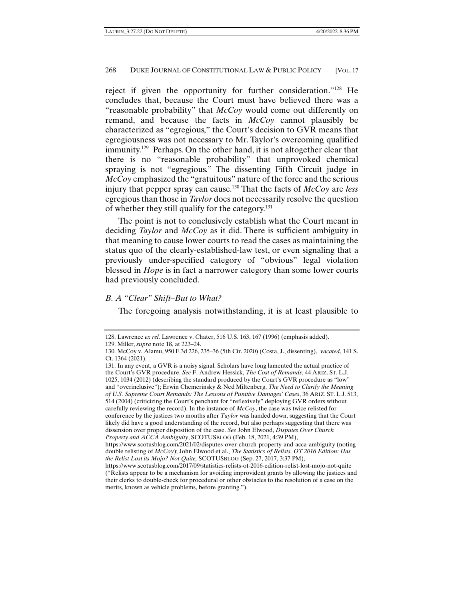reject if given the opportunity for further consideration."128 He concludes that, because the Court must have believed there was a "reasonable probability" that *McCoy* would come out differently on remand, and because the facts in *McCoy* cannot plausibly be characterized as "egregious," the Court's decision to GVR means that egregiousness was not necessary to Mr. Taylor's overcoming qualified immunity.129 Perhaps. On the other hand, it is not altogether clear that there is no "reasonable probability" that unprovoked chemical spraying is not "egregious." The dissenting Fifth Circuit judge in *McCoy* emphasized the "gratuitous" nature of the force and the serious injury that pepper spray can cause.130 That the facts of *McCoy* are *less*  egregious than those in *Taylor* does not necessarily resolve the question of whether they still qualify for the category.131

The point is not to conclusively establish what the Court meant in deciding *Taylor* and *McCoy* as it did. There is sufficient ambiguity in that meaning to cause lower courts to read the cases as maintaining the status quo of the clearly-established-law test, or even signaling that a previously under-specified category of "obvious" legal violation blessed in *Hope* is in fact a narrower category than some lower courts had previously concluded.

### *B. A "Clear" Shift–But to What?*

The foregoing analysis notwithstanding, it is at least plausible to

<sup>128.</sup> Lawrence *ex rel.* Lawrence v. Chater, 516 U.S. 163, 167 (1996) (emphasis added).

<sup>129.</sup> Miller, *supra* note 18, at 223–24.

<sup>130.</sup> McCoy v. Alamu, 950 F.3d 226, 235–36 (5th Cir. 2020) (Costa, J., dissenting), *vacated*, 141 S. Ct. 1364 (2021).

<sup>131.</sup> In any event, a GVR is a noisy signal. Scholars have long lamented the actual practice of the Court's GVR procedure. *See* F. Andrew Hessick, *The Cost of Remands*, 44 ARIZ. ST. L.J. 1025, 1034 (2012) (describing the standard produced by the Court's GVR procedure as "low" and "overinclusive"); Erwin Chemerinsky & Ned Miltenberg, *The Need to Clarify the Meaning of U.S. Supreme Court Remands: The Lessons of Punitive Damages' Cases*, 36 ARIZ. ST. L.J. 513, 514 (2004) (criticizing the Court's penchant for "reflexively" deploying GVR orders without carefully reviewing the record). In the instance of *McCoy*, the case was twice relisted for conference by the justices two months after *Taylor* was handed down, suggesting that the Court likely did have a good understanding of the record, but also perhaps suggesting that there was dissension over proper disposition of the case. *See* John Elwood, *Disputes Over Church Property and ACCA Ambiguity*, SCOTUSBLOG (Feb. 18, 2021, 4:39 PM),

https://www.scotusblog.com/2021/02/disputes-over-church-property-and-acca-ambiguity (noting double relisting of *McCoy*); John Elwood et al., *The Statistics of Relists, OT 2016 Edition: Has the Relist Lost its Mojo? Not Quite,* SCOTUSBLOG (Sep. 27, 2017, 3:37 PM),

https://www.scotusblog.com/2017/09/statistics-relists-ot-2016-edition-relist-lost-mojo-not-quite ("Relists appear to be a mechanism for avoiding improvident grants by allowing the justices and their clerks to double-check for procedural or other obstacles to the resolution of a case on the merits, known as vehicle problems, before granting.").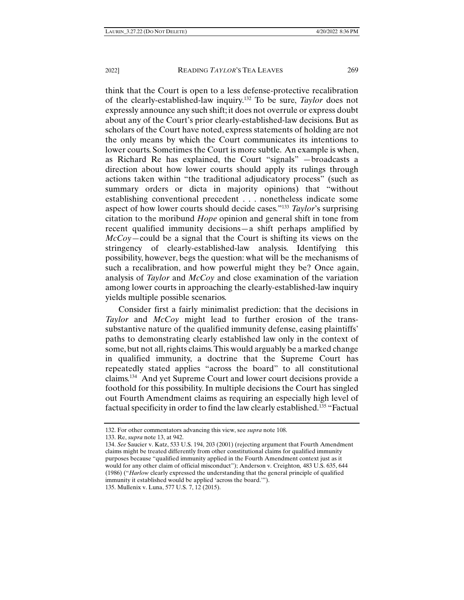think that the Court is open to a less defense-protective recalibration of the clearly-established-law inquiry.132 To be sure, *Taylor* does not expressly announce any such shift; it does not overrule or express doubt about any of the Court's prior clearly-established-law decisions. But as scholars of the Court have noted, express statements of holding are not the only means by which the Court communicates its intentions to lower courts. Sometimes the Court is more subtle. An example is when, as Richard Re has explained, the Court "signals" —broadcasts a direction about how lower courts should apply its rulings through actions taken within "the traditional adjudicatory process" (such as summary orders or dicta in majority opinions) that "without establishing conventional precedent . . . nonetheless indicate some aspect of how lower courts should decide cases."133 *Taylor*'s surprising citation to the moribund *Hope* opinion and general shift in tone from recent qualified immunity decisions—a shift perhaps amplified by *McCoy*—could be a signal that the Court is shifting its views on the stringency of clearly-established-law analysis. Identifying this possibility, however, begs the question: what will be the mechanisms of such a recalibration, and how powerful might they be? Once again, analysis of *Taylor* and *McCoy* and close examination of the variation among lower courts in approaching the clearly-established-law inquiry yields multiple possible scenarios.

Consider first a fairly minimalist prediction: that the decisions in *Taylor* and *McCoy* might lead to further erosion of the transsubstantive nature of the qualified immunity defense, easing plaintiffs' paths to demonstrating clearly established law only in the context of some, but not all, rights claims. This would arguably be a marked change in qualified immunity, a doctrine that the Supreme Court has repeatedly stated applies "across the board" to all constitutional claims.134 And yet Supreme Court and lower court decisions provide a foothold for this possibility. In multiple decisions the Court has singled out Fourth Amendment claims as requiring an especially high level of factual specificity in order to find the law clearly established.135 "Factual

<sup>132.</sup> For other commentators advancing this view, see *supra* note 108.

<sup>133.</sup> Re, *supra* note 13, at 942.

<sup>134.</sup> *See* Saucier v. Katz, 533 U.S. 194, 203 (2001) (rejecting argument that Fourth Amendment claims might be treated differently from other constitutional claims for qualified immunity purposes because "qualified immunity applied in the Fourth Amendment context just as it would for any other claim of official misconduct"); Anderson v. Creighton*,* 483 U.S. 635, 644 (1986) ("*Harlow* clearly expressed the understanding that the general principle of qualified immunity it established would be applied 'across the board.'"). 135. Mullenix v. Luna, 577 U.S. 7, 12 (2015).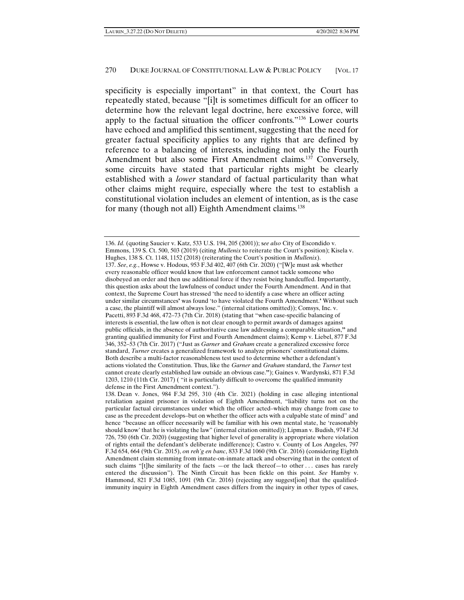specificity is especially important" in that context, the Court has repeatedly stated, because "[i]t is sometimes difficult for an officer to determine how the relevant legal doctrine, here excessive force, will apply to the factual situation the officer confronts."136 Lower courts have echoed and amplified this sentiment, suggesting that the need for greater factual specificity applies to any rights that are defined by reference to a balancing of interests, including not only the Fourth Amendment but also some First Amendment claims.<sup>137</sup> Conversely, some circuits have stated that particular rights might be clearly established with a *lower* standard of factual particularity than what other claims might require, especially where the test to establish a constitutional violation includes an element of intention, as is the case for many (though not all) Eighth Amendment claims.<sup>138</sup>

<sup>136.</sup> *Id.* (quoting Saucier v. Katz, 533 U.S. 194, 205 (2001)); s*ee also* City of Escondido v. Emmons, 139 S. Ct. 500, 503 (2019) (citing *Mullenix* to reiterate the Court's position); Kisela v. Hughes, 138 S. Ct. 1148, 1152 (2018) (reiterating the Court's position in *Mullenix*). 137. *See*, *e.g.*, Howse v. Hodous, 953 F.3d 402, 407 (6th Cir. 2020) ("[W]e must ask whether every reasonable officer would know that law enforcement cannot tackle someone who disobeyed an order and then use additional force if they resist being handcuffed. Importantly, this question asks about the lawfulness of conduct under the Fourth Amendment. And in that context, the Supreme Court has stressed 'the need to identify a case where an officer acting under similar circumstances**'** was found 'to have violated the Fourth Amendment.**'** Without such a case, the plaintiff will almost always lose." (internal citations omitted)); Comsys, Inc. v. Pacetti, 893 F.3d 468, 472–73 (7th Cir. 2018) (stating that "when case-specific balancing of interests is essential, the law often is not clear enough to permit awards of damages against public officials, in the absence of authoritative case law addressing a comparable situation,**"** and granting qualified immunity for First and Fourth Amendment claims); Kemp v. Liebel, 877 F.3d 346, 352–53 (7th Cir. 2017) ("Just as *Garner* and *Graham* create a generalized excessive force standard, *Turner* creates a generalized framework to analyze prisoners' constitutional claims. Both describe a multi-factor reasonableness test used to determine whether a defendant's actions violated the Constitution. Thus, like the *Garner* and *Graham* standard, the *Turner* test cannot create clearly established law outside an obvious case.**"**); Gaines v. Wardynski, 871 F.3d 1203, 1210 (11th Cir. 2017) ( "it is particularly difficult to overcome the qualified immunity defense in the First Amendment context.").

<sup>138.</sup> Dean v. Jones, 984 F.3d 295, 310 (4th Cir. 2021) (holding in case alleging intentional retaliation against prisoner in violation of Eighth Amendment, "liability turns not on the particular factual circumstances under which the officer acted–which may change from case to case as the precedent develops–but on whether the officer acts with a culpable state of mind" and hence "because an officer necessarily will be familiar with his own mental state, he 'reasonably should know' that he is violating the law" (internal citation omitted)); Lipman v. Budish, 974 F.3d 726, 750 (6th Cir. 2020) (suggesting that higher level of generality is appropriate where violation of rights entail the defendant's deliberate indifference); Castro v. County of Los Angeles, 797 F.3d 654, 664 (9th Cir. 2015), *on reh'g en banc*, 833 F.3d 1060 (9th Cir. 2016) (considering Eighth Amendment claim stemming from inmate-on-inmate attack and observing that in the context of such claims "[t]he similarity of the facts -or the lack thereof-to other ... cases has rarely entered the discussion"). The Ninth Circuit has been fickle on this point. *See* Hamby v. Hammond, 821 F.3d 1085, 1091 (9th Cir. 2016) (rejecting any suggest[ion] that the qualifiedimmunity inquiry in Eighth Amendment cases differs from the inquiry in other types of cases,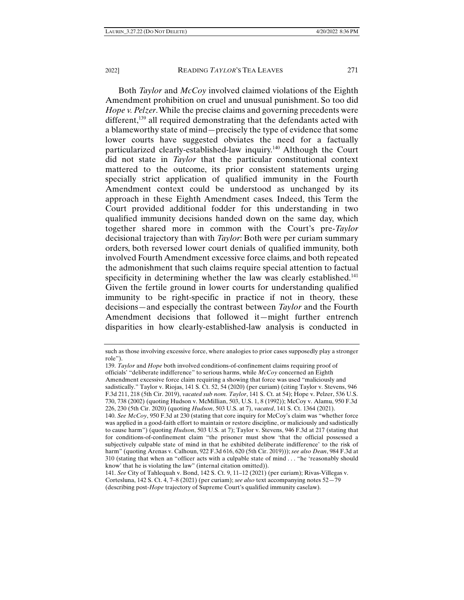Both *Taylor* and *McCoy* involved claimed violations of the Eighth Amendment prohibition on cruel and unusual punishment. So too did *Hope v. Pelzer*. While the precise claims and governing precedents were different,<sup>139</sup> all required demonstrating that the defendants acted with a blameworthy state of mind—precisely the type of evidence that some lower courts have suggested obviates the need for a factually particularized clearly-established-law inquiry.140 Although the Court did not state in *Taylor* that the particular constitutional context mattered to the outcome, its prior consistent statements urging specially strict application of qualified immunity in the Fourth Amendment context could be understood as unchanged by its approach in these Eighth Amendment cases. Indeed, this Term the Court provided additional fodder for this understanding in two qualified immunity decisions handed down on the same day, which together shared more in common with the Court's pre-*Taylor*  decisional trajectory than with *Taylor*: Both were per curiam summary orders, both reversed lower court denials of qualified immunity, both involved Fourth Amendment excessive force claims, and both repeated the admonishment that such claims require special attention to factual specificity in determining whether the law was clearly established.<sup>141</sup> Given the fertile ground in lower courts for understanding qualified immunity to be right-specific in practice if not in theory, these decisions—and especially the contrast between *Taylor* and the Fourth Amendment decisions that followed it—might further entrench disparities in how clearly-established-law analysis is conducted in

such as those involving excessive force, where analogies to prior cases supposedly play a stronger role").

<sup>139.</sup> *Taylor* and *Hope* both involved conditions-of-confinement claims requiring proof of officials' "deliberate indifference" to serious harms, while *McCoy* concerned an Eighth Amendment excessive force claim requiring a showing that force was used "maliciously and sadistically." Taylor v. Riojas, 141 S. Ct. 52, 54 (2020) (per curiam) (citing Taylor v. Stevens, 946 F.3d 211, 218 (5th Cir. 2019), *vacated sub nom. Taylor*, 141 S. Ct. at 54); Hope v. Pelzer, 536 U.S. 730, 738 (2002) (quoting Hudson v. McMillian, 503, U.S. 1, 8 (1992)); McCoy v. Alamu, 950 F.3d 226, 230 (5th Cir. 2020) (quoting *Hudson*, 503 U.S. at 7), *vacated*, 141 S. Ct. 1364 (2021).

<sup>140.</sup> *See McCoy*, 950 F.3d at 230 (stating that core inquiry for McCoy's claim was "whether force was applied in a good-faith effort to maintain or restore discipline, or maliciously and sadistically to cause harm") (quoting *Hudson*, 503 U.S. at 7); Taylor v. Stevens, 946 F.3d at 217 (stating that for conditions-of-confinement claim "the prisoner must show 'that the official possessed a subjectively culpable state of mind in that he exhibited deliberate indifference' to the risk of harm" (quoting Arenas v. Calhoun, 922 F.3d 616, 620 (5th Cir. 2019))); *see also Dean*, 984 F.3d at 310 (stating that when an "officer acts with a culpable state of mind . . . "he 'reasonably should know' that he is violating the law" (internal citation omitted)).

<sup>141.</sup> *See* City of Tahlequah v. Bond, 142 S. Ct. 9, 11–12 (2021) (per curiam); Rivas-Villegas v. Cortesluna, 142 S. Ct. 4, 7–8 (2021) (per curiam); *see also* text accompanying notes 52—79 (describing post-*Hope* trajectory of Supreme Court's qualified immunity caselaw).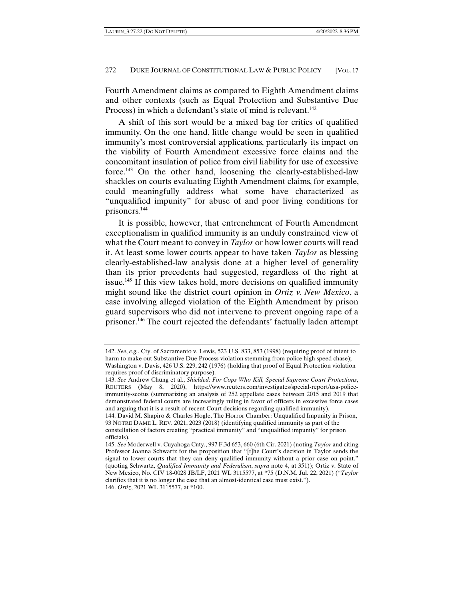Fourth Amendment claims as compared to Eighth Amendment claims and other contexts (such as Equal Protection and Substantive Due Process) in which a defendant's state of mind is relevant.<sup>142</sup>

A shift of this sort would be a mixed bag for critics of qualified immunity. On the one hand, little change would be seen in qualified immunity's most controversial applications, particularly its impact on the viability of Fourth Amendment excessive force claims and the concomitant insulation of police from civil liability for use of excessive force.<sup>143</sup> On the other hand, loosening the clearly-established-law shackles on courts evaluating Eighth Amendment claims, for example, could meaningfully address what some have characterized as "unqualified impunity" for abuse of and poor living conditions for prisoners.144

It is possible, however, that entrenchment of Fourth Amendment exceptionalism in qualified immunity is an unduly constrained view of what the Court meant to convey in *Taylor* or how lower courts will read it. At least some lower courts appear to have taken *Taylor* as blessing clearly-established-law analysis done at a higher level of generality than its prior precedents had suggested, regardless of the right at issue.<sup>145</sup> If this view takes hold, more decisions on qualified immunity might sound like the district court opinion in *Ortiz v. New Mexico*, a case involving alleged violation of the Eighth Amendment by prison guard supervisors who did not intervene to prevent ongoing rape of a prisoner.146 The court rejected the defendants' factually laden attempt

<sup>142.</sup> *See*, *e.g.*, Cty. of Sacramento v. Lewis, 523 U.S. 833, 853 (1998) (requiring proof of intent to harm to make out Substantive Due Process violation stemming from police high speed chase); Washington v. Davis, 426 U.S. 229, 242 (1976) (holding that proof of Equal Protection violation requires proof of discriminatory purpose).

<sup>143.</sup> *See* Andrew Chung et al., *Shielded: For Cops Who Kill, Special Supreme Court Protections*, REUTERS (May 8, 2020), https://www.reuters.com/investigates/special-report/usa-policeimmunity-scotus (summarizing an analysis of 252 appellate cases between 2015 and 2019 that demonstrated federal courts are increasingly ruling in favor of officers in excessive force cases and arguing that it is a result of recent Court decisions regarding qualified immunity).

<sup>144.</sup> David M. Shapiro & Charles Hogle, The Horror Chamber: Unqualified Impunity in Prison, 93 NOTRE DAME L. REV. 2021, 2023 (2018) (identifying qualified immunity as part of the constellation of factors creating "practical immunity" and "unqualified impunity" for prison officials).

<sup>145.</sup> *See* Moderwell v. Cuyahoga Cnty., 997 F.3d 653, 660 (6th Cir. 2021) (noting *Taylor* and citing Professor Joanna Schwartz for the proposition that "[t]he Court's decision in Taylor sends the signal to lower courts that they can deny qualified immunity without a prior case on point." (quoting Schwartz, *Qualified Immunity and Federalism*, *supra* note 4, at 351)); Ortiz v. State of New Mexico, No. CIV 18-0028 JB/LF, 2021 WL 3115577, at \*75 (D.N.M. Jul. 22, 2021) ("*Taylor* clarifies that it is no longer the case that an almost-identical case must exist."). 146. *Ortiz*, 2021 WL 3115577, at \*100.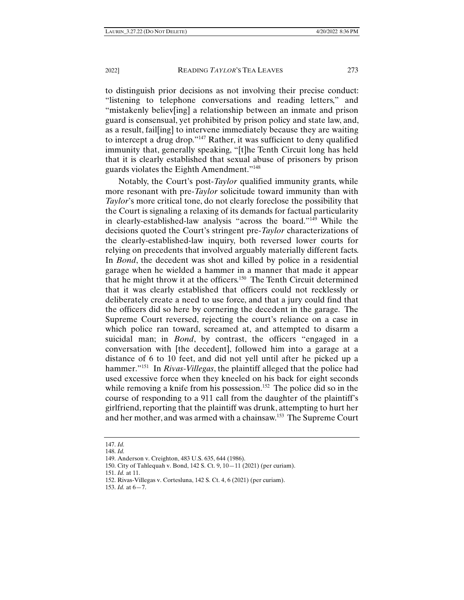to distinguish prior decisions as not involving their precise conduct: "listening to telephone conversations and reading letters," and "mistakenly believ[ing] a relationship between an inmate and prison guard is consensual, yet prohibited by prison policy and state law, and, as a result, fail[ing] to intervene immediately because they are waiting to intercept a drug drop."147 Rather, it was sufficient to deny qualified immunity that, generally speaking, "[t]he Tenth Circuit long has held that it is clearly established that sexual abuse of prisoners by prison guards violates the Eighth Amendment."148

Notably, the Court's post-*Taylor* qualified immunity grants, while more resonant with pre-*Taylor* solicitude toward immunity than with *Taylor*'s more critical tone, do not clearly foreclose the possibility that the Court is signaling a relaxing of its demands for factual particularity in clearly-established-law analysis "across the board."149 While the decisions quoted the Court's stringent pre-*Taylor* characterizations of the clearly-established-law inquiry, both reversed lower courts for relying on precedents that involved arguably materially different facts. In *Bond*, the decedent was shot and killed by police in a residential garage when he wielded a hammer in a manner that made it appear that he might throw it at the officers.150 The Tenth Circuit determined that it was clearly established that officers could not recklessly or deliberately create a need to use force, and that a jury could find that the officers did so here by cornering the decedent in the garage. The Supreme Court reversed, rejecting the court's reliance on a case in which police ran toward, screamed at, and attempted to disarm a suicidal man; in *Bond*, by contrast, the officers "engaged in a conversation with [the decedent], followed him into a garage at a distance of 6 to 10 feet, and did not yell until after he picked up a hammer."151 In *Rivas-Villegas*, the plaintiff alleged that the police had used excessive force when they kneeled on his back for eight seconds while removing a knife from his possession.<sup>152</sup> The police did so in the course of responding to a 911 call from the daughter of the plaintiff's girlfriend, reporting that the plaintiff was drunk, attempting to hurt her and her mother, and was armed with a chainsaw.153 The Supreme Court

<sup>147.</sup> *Id.* 

<sup>148.</sup> *Id.*

<sup>149.</sup> Anderson v. Creighton, 483 U.S. 635, 644 (1986).

<sup>150.</sup> City of Tahlequah v. Bond, 142 S. Ct. 9, 10—11 (2021) (per curiam).

<sup>151.</sup> *Id.* at 11.

<sup>152.</sup> Rivas-Villegas v. Cortesluna, 142 S. Ct. 4, 6 (2021) (per curiam).

<sup>153.</sup> *Id.* at 6—7.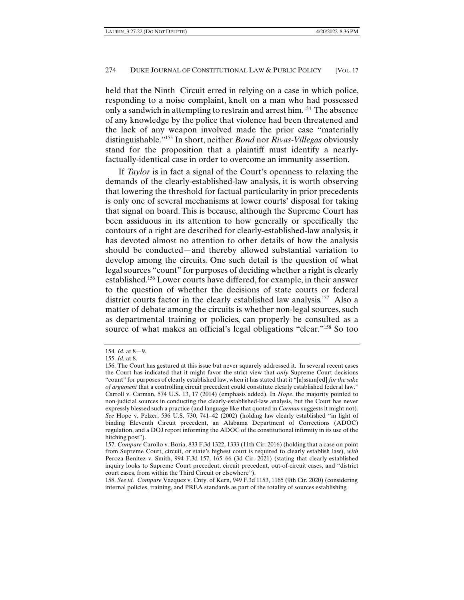held that the Ninth Circuit erred in relying on a case in which police, responding to a noise complaint, knelt on a man who had possessed only a sandwich in attempting to restrain and arrest him.<sup>154</sup> The absence of any knowledge by the police that violence had been threatened and the lack of any weapon involved made the prior case "materially distinguishable."155 In short, neither *Bond* nor *Rivas-Villegas* obviously stand for the proposition that a plaintiff must identify a nearlyfactually-identical case in order to overcome an immunity assertion.

If *Taylor* is in fact a signal of the Court's openness to relaxing the demands of the clearly-established-law analysis, it is worth observing that lowering the threshold for factual particularity in prior precedents is only one of several mechanisms at lower courts' disposal for taking that signal on board. This is because, although the Supreme Court has been assiduous in its attention to how generally or specifically the contours of a right are described for clearly-established-law analysis, it has devoted almost no attention to other details of how the analysis should be conducted—and thereby allowed substantial variation to develop among the circuits. One such detail is the question of what legal sources "count" for purposes of deciding whether a right is clearly established.156 Lower courts have differed, for example, in their answer to the question of whether the decisions of state courts or federal district courts factor in the clearly established law analysis.157 Also a matter of debate among the circuits is whether non-legal sources, such as departmental training or policies, can properly be consulted as a source of what makes an official's legal obligations "clear."158 So too

<sup>154.</sup> *Id.* at 8—9.

<sup>155.</sup> *Id.* at 8.

<sup>156.</sup> The Court has gestured at this issue but never squarely addressed it. In several recent cases the Court has indicated that it might favor the strict view that *only* Supreme Court decisions "count" for purposes of clearly established law, when it has stated that it "[a]ssum[ed] *for the sake of argument* that a controlling circuit precedent could constitute clearly established federal law." Carroll v. Carman, 574 U.S. 13, 17 (2014) (emphasis added). In *Hope*, the majority pointed to non-judicial sources in conducting the clearly-established-law analysis, but the Court has never expressly blessed such a practice (and language like that quoted in *Carman* suggests it might not). *See* Hope v. Pelzer, 536 U.S. 730, 741–42 (2002) (holding law clearly established "in light of binding Eleventh Circuit precedent, an Alabama Department of Corrections (ADOC) regulation, and a DOJ report informing the ADOC of the constitutional infirmity in its use of the hitching post").

<sup>157.</sup> *Compare* Carollo v. Boria, 833 F.3d 1322, 1333 (11th Cir. 2016) (holding that a case on point from Supreme Court, circuit, or state's highest court is required to clearly establish law), *with* Peroza-Benitez v. Smith, 994 F.3d 157, 165–66 (3d Cir. 2021) (stating that clearly-established inquiry looks to Supreme Court precedent, circuit precedent, out-of-circuit cases, and "district court cases, from within the Third Circuit or elsewhere").

<sup>158.</sup> *See id. Compare* Vazquez v. Cnty. of Kern, 949 F.3d 1153, 1165 (9th Cir. 2020) (considering internal policies, training, and PREA standards as part of the totality of sources establishing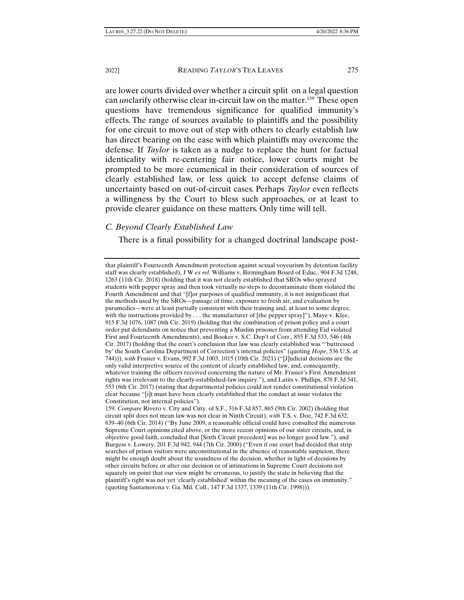are lower courts divided over whether a circuit split on a legal question can *un*clarify otherwise clear in-circuit law on the matter.<sup>159</sup> These open questions have tremendous significance for qualified immunity's effects. The range of sources available to plaintiffs and the possibility for one circuit to move out of step with others to clearly establish law has direct bearing on the ease with which plaintiffs may overcome the defense. If *Taylor* is taken as a nudge to replace the hunt for factual identicality with re-centering fair notice, lower courts might be prompted to be more ecumenical in their consideration of sources of clearly established law, or less quick to accept defense claims of uncertainty based on out-of-circuit cases. Perhaps *Taylor* even reflects a willingness by the Court to bless such approaches, or at least to provide clearer guidance on these matters. Only time will tell.

### *C. Beyond Clearly Established Law*

There is a final possibility for a changed doctrinal landscape post-

that plaintiff's Fourteenth Amendment protection against sexual voyeurism by detention facility staff was clearly established), J W *ex rel.* Williams v. Birmingham Board of Educ., 904 F.3d 1248, 1263 (11th Cir. 2018) (holding that it was not clearly established that SROs who sprayed students with pepper spray and then took virtually no steps to decontaminate them violated the Fourth Amendment and that "[f]or purposes of qualified immunity, it is not insignificant that the methods used by the SROs—passage of time, exposure to fresh air, and evaluation by paramedics—were at least partially consistent with their training and, at least to some degree, with the instructions provided by  $\dots$  the manufacturer of [the pepper spray]"), Maye v. Klee, 915 F.3d 1076, 1087 (6th Cir. 2019) (holding that the combination of prison policy and a court order put defendants on notice that preventing a Muslim prisoner from attending Eid violated First and Fourteenth Amendments), and Booker v. S.C. Dep't of Corr., 855 F.3d 533, 546 (4th Cir. 2017) (holding that the court's conclusion that law was clearly established was "'buttressed by' the South Carolina Department of Correction's internal policies" (quoting *Hope*, 536 U.S. at 744))), *with* Frasier v. Evans, 992 F.3d 1003, 1015 (10th Cir. 2021) ("[J]udicial decisions are the only valid interpretive source of the content of clearly established law, and, consequently, whatever training the officers received concerning the nature of Mr. Frasier's First Amendment rights was irrelevant to the clearly-established-law inquiry."), and Latits v. Phillips, 878 F.3d 541, 553 (6th Cir. 2017) (stating that departmental policies could not render constitutional violation clear because "[i]t must have been clearly established that the conduct at issue violates the Constitution, not internal policies").

159. *Compare* Rivero v. City and Cnty. of S.F., 316 F.3d 857, 865 (9th Cir. 2002) (holding that circuit split does not mean law was not clear in Ninth Circuit), *with* T.S. v. Doe, 742 F.3d 632, 639–40 (6th Cir. 2014) ("By June 2009, a reasonable official could have consulted the numerous Supreme Court opinions cited above, or the more recent opinions of our sister circuits, and, in objective good faith, concluded that [Sixth Circuit precedent] was no longer good law."), and Burgess v. Lowery, 201 F.3d 942, 944 (7th Cir. 2000) ("Even if our court had decided that strip searches of prison visitors were unconstitutional in the absence of reasonable suspicion, there might be enough doubt about the soundness of the decision, whether in light of decisions by other circuits before or after our decision or of intimations in Supreme Court decisions not squarely on point that our view might be erroneous, to justify the state in believing that the plaintiff's right was not yet 'clearly established' within the meaning of the cases on immunity." (quoting Santamorena v. Ga. Mil. Coll., 147 F.3d 1337, 1339 (11th Cir. 1998))).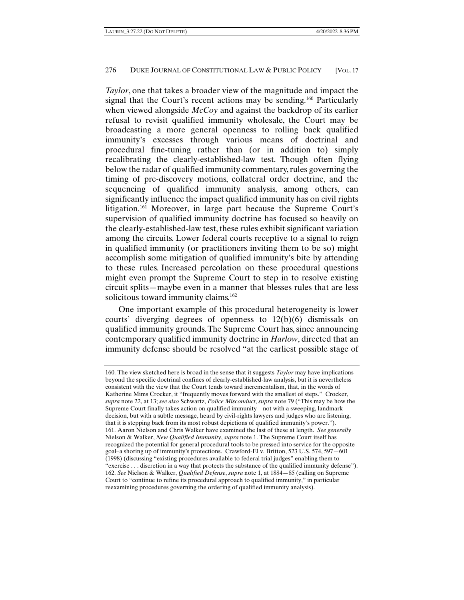*Taylor*, one that takes a broader view of the magnitude and impact the signal that the Court's recent actions may be sending.<sup>160</sup> Particularly when viewed alongside *McCoy* and against the backdrop of its earlier refusal to revisit qualified immunity wholesale, the Court may be broadcasting a more general openness to rolling back qualified immunity's excesses through various means of doctrinal and procedural fine-tuning rather than (or in addition to) simply recalibrating the clearly-established-law test. Though often flying below the radar of qualified immunity commentary, rules governing the timing of pre-discovery motions, collateral order doctrine, and the sequencing of qualified immunity analysis, among others, can significantly influence the impact qualified immunity has on civil rights litigation.161 Moreover, in large part because the Supreme Court's supervision of qualified immunity doctrine has focused so heavily on the clearly-established-law test, these rules exhibit significant variation among the circuits. Lower federal courts receptive to a signal to reign in qualified immunity (or practitioners inviting them to be so) might accomplish some mitigation of qualified immunity's bite by attending to these rules. Increased percolation on these procedural questions might even prompt the Supreme Court to step in to resolve existing circuit splits—maybe even in a manner that blesses rules that are less solicitous toward immunity claims.<sup>162</sup>

One important example of this procedural heterogeneity is lower courts' diverging degrees of openness to 12(b)(6) dismissals on qualified immunity grounds. The Supreme Court has, since announcing contemporary qualified immunity doctrine in *Harlow*, directed that an immunity defense should be resolved "at the earliest possible stage of

<sup>160.</sup> The view sketched here is broad in the sense that it suggests *Taylor* may have implications beyond the specific doctrinal confines of clearly-established-law analysis, but it is nevertheless consistent with the view that the Court tends toward incrementalism, that, in the words of Katherine Mims Crocker, it "frequently moves forward with the smallest of steps." Crocker, *supra* note 22, at 13; *see also* Schwartz, *Police Misconduct*, *supra* note 79 ("This may be how the Supreme Court finally takes action on qualified immunity—not with a sweeping, landmark decision, but with a subtle message, heard by civil-rights lawyers and judges who are listening, that it is stepping back from its most robust depictions of qualified immunity's power."). 161. Aaron Nielson and Chris Walker have examined the last of these at length. *See generally*  Nielson & Walker, *New Qualified Immunity*, *supra* note 1. The Supreme Court itself has recognized the potential for general procedural tools to be pressed into service for the opposite goal–a shoring up of immunity's protections. Crawford-El v. Britton, 523 U.S. 574, 597—601 (1998) (discussing "existing procedures available to federal trial judges" enabling them to "exercise . . . discretion in a way that protects the substance of the qualified immunity defense"). 162. *See* Nielson & Walker, *Qualified Defense*, *supra* note 1, at 1884—85 (calling on Supreme Court to "continue to refine its procedural approach to qualified immunity," in particular reexamining procedures governing the ordering of qualified immunity analysis).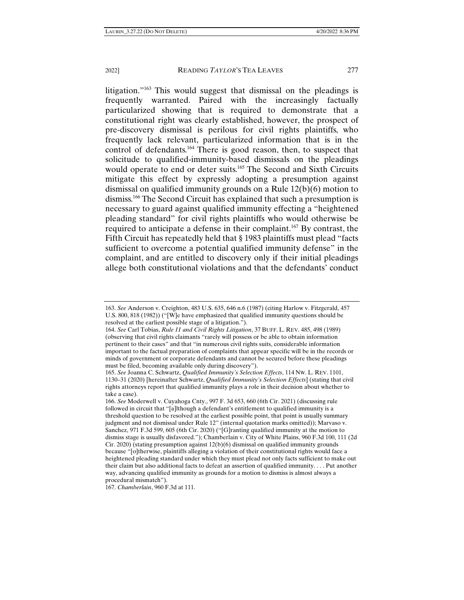litigation."163 This would suggest that dismissal on the pleadings is frequently warranted. Paired with the increasingly factually particularized showing that is required to demonstrate that a constitutional right was clearly established, however, the prospect of pre-discovery dismissal is perilous for civil rights plaintiffs, who frequently lack relevant, particularized information that is in the control of defendants.164 There is good reason, then, to suspect that solicitude to qualified-immunity-based dismissals on the pleadings would operate to end or deter suits.<sup>165</sup> The Second and Sixth Circuits mitigate this effect by expressly adopting a presumption against dismissal on qualified immunity grounds on a Rule 12(b)(6) motion to dismiss.166 The Second Circuit has explained that such a presumption is necessary to guard against qualified immunity effecting a "heightened pleading standard" for civil rights plaintiffs who would otherwise be required to anticipate a defense in their complaint.<sup>167</sup> By contrast, the Fifth Circuit has repeatedly held that § 1983 plaintiffs must plead "facts sufficient to overcome a potential qualified immunity defense" in the complaint, and are entitled to discovery only if their initial pleadings allege both constitutional violations and that the defendants' conduct

167. *Chamberlain*, 960 F.3d at 111.

<sup>163.</sup> *See* Anderson v. Creighton, 483 U.S. 635, 646 n.6 (1987) (citing Harlow v. Fitzgerald, 457 U.S. 800, 818 (1982)) ("[W]e have emphasized that qualified immunity questions should be resolved at the earliest possible stage of a litigation.").

<sup>164.</sup> *See* Carl Tobias, *Rule 11 and Civil Rights Litigation*, 37 BUFF. L. REV. 485, 498 (1989) (observing that civil rights claimants "rarely will possess or be able to obtain information pertinent to their cases" and that "in numerous civil rights suits, considerable information important to the factual preparation of complaints that appear specific will be in the records or minds of government or corporate defendants and cannot be secured before these pleadings must be filed, becoming available only during discovery").

<sup>165.</sup> *See* Joanna C. Schwartz, *Qualified Immunity's Selection Effects*, 114 NW. L. REV. 1101, 1130–31 (2020) [hereinafter Schwartz, *Qualified Immunity's Selection Effects*] (stating that civil rights attorneys report that qualified immunity plays a role in their decision about whether to take a case).

<sup>166.</sup> *See* Moderwell v. Cuyahoga Cnty., 997 F. 3d 653, 660 (6th Cir. 2021) (discussing rule followed in circuit that "[a]lthough a defendant's entitlement to qualified immunity is a threshold question to be resolved at the earliest possible point, that point is usually summary judgment and not dismissal under Rule 12" (internal quotation marks omitted)); Marvaso v. Sanchez, 971 F.3d 599, 605 (6th Cir. 2020) ("[G]ranting qualified immunity at the motion to dismiss stage is usually disfavored."); Chamberlain v. City of White Plains, 960 F.3d 100, 111 (2d Cir. 2020) (stating presumption against  $12(b)(6)$  dismissal on qualified immunity grounds because "[o]therwise, plaintiffs alleging a violation of their constitutional rights would face a heightened pleading standard under which they must plead not only facts sufficient to make out their claim but also additional facts to defeat an assertion of qualified immunity. . . . Put another way, advancing qualified immunity as grounds for a motion to dismiss is almost always a procedural mismatch").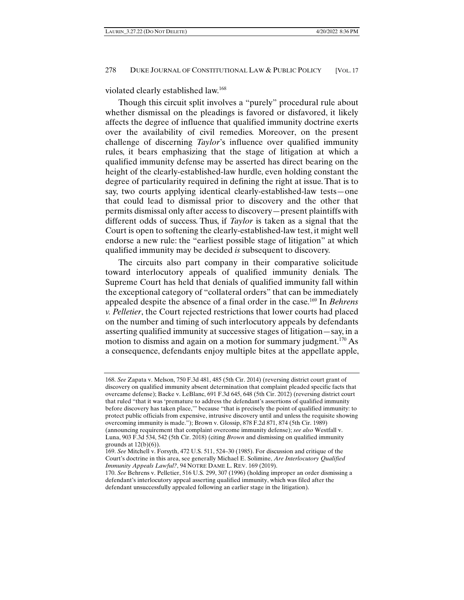violated clearly established law.168

Though this circuit split involves a "purely" procedural rule about whether dismissal on the pleadings is favored or disfavored, it likely affects the degree of influence that qualified immunity doctrine exerts over the availability of civil remedies. Moreover, on the present challenge of discerning *Taylor*'s influence over qualified immunity rules, it bears emphasizing that the stage of litigation at which a qualified immunity defense may be asserted has direct bearing on the height of the clearly-established-law hurdle, even holding constant the degree of particularity required in defining the right at issue. That is to say, two courts applying identical clearly-established-law tests—one that could lead to dismissal prior to discovery and the other that permits dismissal only after access to discovery—present plaintiffs with different odds of success. Thus, if *Taylor* is taken as a signal that the Court is open to softening the clearly-established-law test, it might well endorse a new rule: the "earliest possible stage of litigation" at which qualified immunity may be decided *is* subsequent to discovery.

The circuits also part company in their comparative solicitude toward interlocutory appeals of qualified immunity denials. The Supreme Court has held that denials of qualified immunity fall within the exceptional category of "collateral orders" that can be immediately appealed despite the absence of a final order in the case.169 In *Behrens v. Pelletier*, the Court rejected restrictions that lower courts had placed on the number and timing of such interlocutory appeals by defendants asserting qualified immunity at successive stages of litigation—say, in a motion to dismiss and again on a motion for summary judgment.<sup>170</sup> As a consequence, defendants enjoy multiple bites at the appellate apple,

<sup>168.</sup> *See* Zapata v. Melson, 750 F.3d 481, 485 (5th Cir. 2014) (reversing district court grant of discovery on qualified immunity absent determination that complaint pleaded specific facts that overcame defense); Backe v. LeBlanc, 691 F.3d 645, 648 (5th Cir. 2012) (reversing district court that ruled "that it was 'premature to address the defendant's assertions of qualified immunity before discovery has taken place,'" because "that is precisely the point of qualified immunity: to protect public officials from expensive, intrusive discovery until and unless the requisite showing overcoming immunity is made."); Brown v. Glossip, 878 F.2d 871, 874 (5th Cir. 1989) (announcing requirement that complaint overcome immunity defense); *see also* Westfall v. Luna, 903 F.3d 534, 542 (5th Cir. 2018) (citing *Brown* and dismissing on qualified immunity grounds at  $12(b)(6)$ ).

<sup>169.</sup> *See* Mitchell v. Forsyth, 472 U.S. 511, 524–30 (1985). For discussion and critique of the Court's doctrine in this area, see generally Michael E. Solimine, *Are Interlocutory Qualified Immunity Appeals Lawful?*, 94 NOTRE DAME L. REV. 169 (2019).

<sup>170.</sup> *See* Behrens v. Pelletier, 516 U.S. 299, 307 (1996) (holding improper an order dismissing a defendant's interlocutory appeal asserting qualified immunity, which was filed after the defendant unsuccessfully appealed following an earlier stage in the litigation).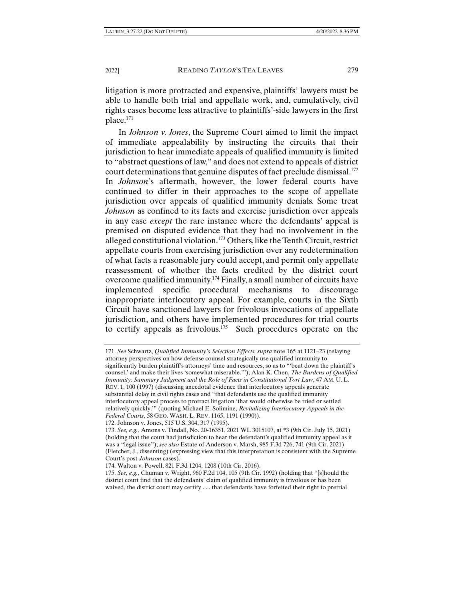litigation is more protracted and expensive, plaintiffs' lawyers must be able to handle both trial and appellate work, and, cumulatively, civil rights cases become less attractive to plaintiffs'-side lawyers in the first place.171

In *Johnson v. Jones*, the Supreme Court aimed to limit the impact of immediate appealability by instructing the circuits that their jurisdiction to hear immediate appeals of qualified immunity is limited to "abstract questions of law," and does not extend to appeals of district court determinations that genuine disputes of fact preclude dismissal.<sup>172</sup> In *Johnson*'s aftermath, however, the lower federal courts have continued to differ in their approaches to the scope of appellate jurisdiction over appeals of qualified immunity denials. Some treat *Johnson* as confined to its facts and exercise jurisdiction over appeals in any case *except* the rare instance where the defendants' appeal is premised on disputed evidence that they had no involvement in the alleged constitutional violation.173 Others, like the Tenth Circuit, restrict appellate courts from exercising jurisdiction over any redetermination of what facts a reasonable jury could accept, and permit only appellate reassessment of whether the facts credited by the district court overcome qualified immunity.174 Finally, a small number of circuits have implemented specific procedural mechanisms to discourage inappropriate interlocutory appeal. For example, courts in the Sixth Circuit have sanctioned lawyers for frivolous invocations of appellate jurisdiction, and others have implemented procedures for trial courts to certify appeals as frivolous.<sup>175</sup> Such procedures operate on the

172. Johnson v. Jones, 515 U.S. 304, 317 (1995).

<sup>171.</sup> *See* Schwartz, *Qualified Immunity's Selection Effects, supra* note 165 at 1121–23 (relaying attorney perspectives on how defense counsel strategically use qualified immunity to significantly burden plaintiff's attorneys' time and resources, so as to "'beat down the plaintiff's counsel,' and make their lives 'somewhat miserable.'"); Alan K. Chen, *The Burdens of Qualified Immunity: Summary Judgment and the Role of Facts in Constitutional Tort Law*, 47 AM. U. L. REV. 1, 100 (1997) (discussing anecdotal evidence that interlocutory appeals generate substantial delay in civil rights cases and "that defendants use the qualified immunity interlocutory appeal process to protract litigation 'that would otherwise be tried or settled relatively quickly.'" (quoting Michael E. Solimine, *Revitalizing Interlocutory Appeals in the Federal Courts*, 58 GEO. WASH. L. REV. 1165, 1191 (1990)).

<sup>173.</sup> *See, e.g.*, Amons v. Tindall, No. 20-16351, 2021 WL 3015107, at \*3 (9th Cir. July 15, 2021) (holding that the court had jurisdiction to hear the defendant's qualified immunity appeal as it was a "legal issue"); *see also* Estate of Anderson v. Marsh, 985 F.3d 726, 741 (9th Cir. 2021) (Fletcher, J., dissenting) (expressing view that this interpretation is consistent with the Supreme Court's post-*Johnson* cases).

<sup>174.</sup> Walton v. Powell, 821 F.3d 1204, 1208 (10th Cir. 2016).

<sup>175.</sup> *See, e.g.*, Chuman v. Wright, 960 F.2d 104, 105 (9th Cir. 1992) (holding that "[s]hould the district court find that the defendants' claim of qualified immunity is frivolous or has been waived, the district court may certify . . . that defendants have forfeited their right to pretrial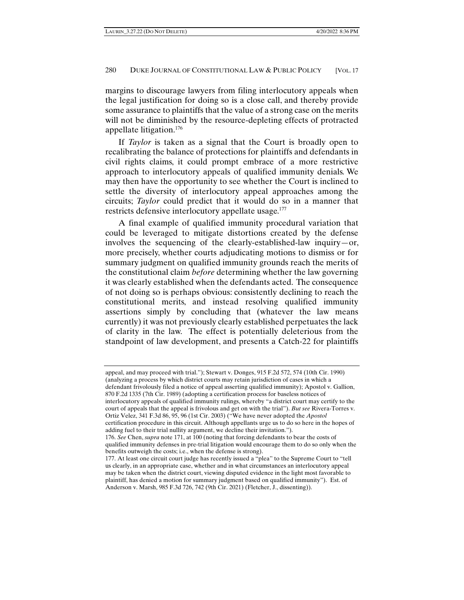margins to discourage lawyers from filing interlocutory appeals when the legal justification for doing so is a close call, and thereby provide some assurance to plaintiffs that the value of a strong case on the merits will not be diminished by the resource-depleting effects of protracted appellate litigation.176

If *Taylor* is taken as a signal that the Court is broadly open to recalibrating the balance of protections for plaintiffs and defendants in civil rights claims, it could prompt embrace of a more restrictive approach to interlocutory appeals of qualified immunity denials. We may then have the opportunity to see whether the Court is inclined to settle the diversity of interlocutory appeal approaches among the circuits; *Taylor* could predict that it would do so in a manner that restricts defensive interlocutory appellate usage.<sup>177</sup>

A final example of qualified immunity procedural variation that could be leveraged to mitigate distortions created by the defense involves the sequencing of the clearly-established-law inquiry—or, more precisely, whether courts adjudicating motions to dismiss or for summary judgment on qualified immunity grounds reach the merits of the constitutional claim *before* determining whether the law governing it was clearly established when the defendants acted. The consequence of not doing so is perhaps obvious: consistently declining to reach the constitutional merits, and instead resolving qualified immunity assertions simply by concluding that (whatever the law means currently) it was not previously clearly established perpetuates the lack of clarity in the law. The effect is potentially deleterious from the standpoint of law development, and presents a Catch-22 for plaintiffs

Ortiz Velez, 341 F.3d 86, 95, 96 (1st Cir. 2003) ("We have never adopted the *Apostol*

appeal, and may proceed with trial."); Stewart v. Donges, 915 F.2d 572, 574 (10th Cir. 1990) (analyzing a process by which district courts may retain jurisdiction of cases in which a defendant frivolously filed a notice of appeal asserting qualified immunity); Apostol v. Gallion,

<sup>870</sup> F.2d 1335 (7th Cir. 1989) (adopting a certification process for baseless notices of interlocutory appeals of qualified immunity rulings, whereby "a district court may certify to the court of appeals that the appeal is frivolous and get on with the trial"). *But see* Rivera-Torres v.

certification procedure in this circuit. Although appellants urge us to do so here in the hopes of adding fuel to their trial nullity argument, we decline their invitation.").

<sup>176.</sup> *See* Chen, *supra* note 171, at 100 (noting that forcing defendants to bear the costs of qualified immunity defenses in pre-trial litigation would encourage them to do so only when the benefits outweigh the costs; i.e., when the defense is strong).

<sup>177.</sup> At least one circuit court judge has recently issued a "plea" to the Supreme Court to "tell us clearly, in an appropriate case, whether and in what circumstances an interlocutory appeal may be taken when the district court, viewing disputed evidence in the light most favorable to plaintiff, has denied a motion for summary judgment based on qualified immunity"). Est. of Anderson v. Marsh, 985 F.3d 726, 742 (9th Cir. 2021) (Fletcher, J., dissenting)).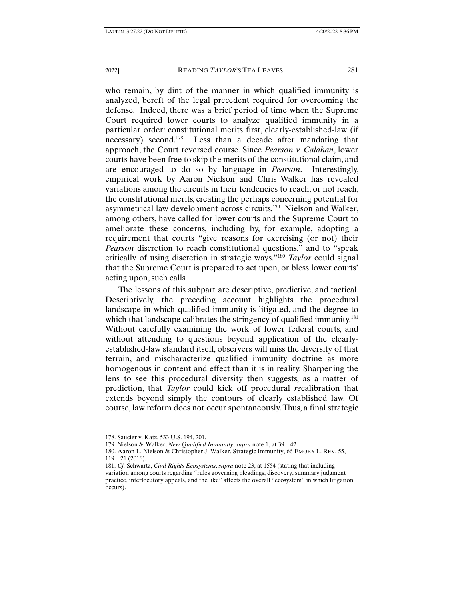who remain, by dint of the manner in which qualified immunity is analyzed, bereft of the legal precedent required for overcoming the defense. Indeed, there was a brief period of time when the Supreme Court required lower courts to analyze qualified immunity in a particular order: constitutional merits first, clearly-established-law (if necessary) second.<sup>178</sup> Less than a decade after mandating that approach, the Court reversed course. Since *Pearson v. Calahan*, lower courts have been free to skip the merits of the constitutional claim, and are encouraged to do so by language in *Pearson*. Interestingly, empirical work by Aaron Nielson and Chris Walker has revealed variations among the circuits in their tendencies to reach, or not reach, the constitutional merits, creating the perhaps concerning potential for asymmetrical law development across circuits.179 Nielson and Walker, among others, have called for lower courts and the Supreme Court to ameliorate these concerns, including by, for example, adopting a requirement that courts "give reasons for exercising (or not) their *Pearson* discretion to reach constitutional questions," and to "speak critically of using discretion in strategic ways."180 *Taylor* could signal that the Supreme Court is prepared to act upon, or bless lower courts' acting upon, such calls.

The lessons of this subpart are descriptive, predictive, and tactical. Descriptively, the preceding account highlights the procedural landscape in which qualified immunity is litigated, and the degree to which that landscape calibrates the stringency of qualified immunity.<sup>181</sup> Without carefully examining the work of lower federal courts, and without attending to questions beyond application of the clearlyestablished-law standard itself, observers will miss the diversity of that terrain, and mischaracterize qualified immunity doctrine as more homogenous in content and effect than it is in reality. Sharpening the lens to see this procedural diversity then suggests, as a matter of prediction, that *Taylor* could kick off procedural *re*calibration that extends beyond simply the contours of clearly established law. Of course, law reform does not occur spontaneously. Thus, a final strategic

<sup>178.</sup> Saucier v. Katz, 533 U.S. 194, 201.

<sup>179.</sup> Nielson & Walker, *New Qualified Immunity*, *supra* note 1, at 39—42.

<sup>180.</sup> Aaron L. Nielson & Christopher J. Walker, Strategic Immunity, 66 EMORY L. REV. 55, 119—21 (2016).

<sup>181.</sup> *Cf.* Schwartz, *Civil Rights Ecosystems*, *supra* note 23, at 1554 (stating that including variation among courts regarding "rules governing pleadings, discovery, summary judgment practice, interlocutory appeals, and the like" affects the overall "ecosystem" in which litigation occurs).